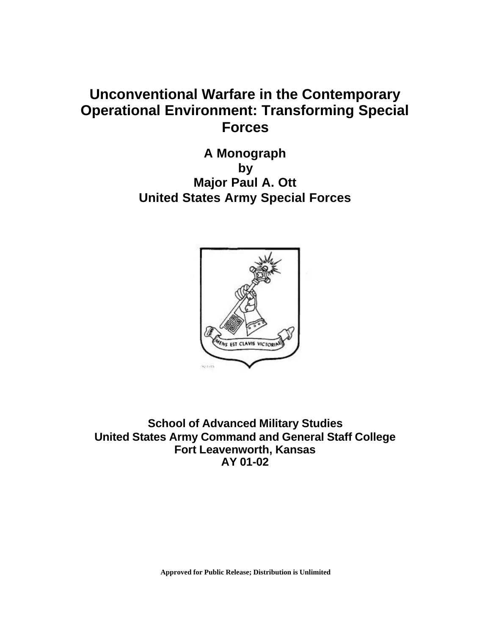# **Unconventional Warfare in the Contemporary Operational Environment: Transforming Special Forces**

**A Monograph by Major Paul A. Ott United States Army Special Forces** 



**School of Advanced Military Studies United States Army Command and General Staff College Fort Leavenworth, Kansas AY 01-02**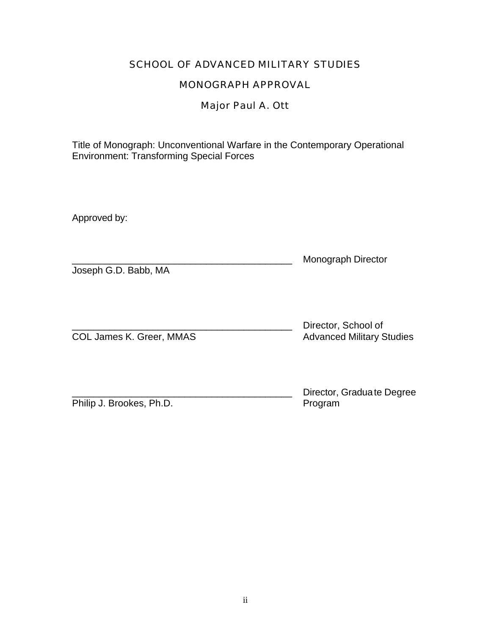## SCHOOL OF ADVANCED MILITARY STUDIES

## MONOGRAPH APPROVAL

## Major Paul A. Ott

Title of Monograph: Unconventional Warfare in the Contemporary Operational Environment: Transforming Special Forces

Approved by:

|                      | Monograph Director |
|----------------------|--------------------|
| Joseph G.D. Babb, MA |                    |

|                          | Director, School of              |
|--------------------------|----------------------------------|
| COL James K. Greer, MMAS | <b>Advanced Military Studies</b> |

Philip J. Brookes, Ph.D.

Director, Gradua te Degree<br>Program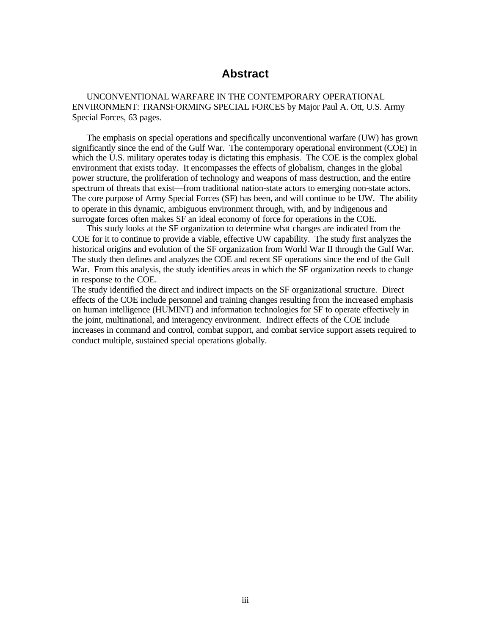## **Abstract**

UNCONVENTIONAL WARFARE IN THE CONTEMPORARY OPERATIONAL ENVIRONMENT: TRANSFORMING SPECIAL FORCES by Major Paul A. Ott, U.S. Army Special Forces, 63 pages.

The emphasis on special operations and specifically unconventional warfare (UW) has grown significantly since the end of the Gulf War. The contemporary operational environment (COE) in which the U.S. military operates today is dictating this emphasis. The COE is the complex global environment that exists today. It encompasses the effects of globalism, changes in the global power structure, the proliferation of technology and weapons of mass destruction, and the entire spectrum of threats that exist—from traditional nation-state actors to emerging non-state actors. The core purpose of Army Special Forces (SF) has been, and will continue to be UW. The ability to operate in this dynamic, ambiguous environment through, with, and by indigenous and surrogate forces often makes SF an ideal economy of force for operations in the COE.

This study looks at the SF organization to determine what changes are indicated from the COE for it to continue to provide a viable, effective UW capability. The study first analyzes the historical origins and evolution of the SF organization from World War II through the Gulf War. The study then defines and analyzes the COE and recent SF operations since the end of the Gulf War. From this analysis, the study identifies areas in which the SF organization needs to change in response to the COE.

The study identified the direct and indirect impacts on the SF organizational structure. Direct effects of the COE include personnel and training changes resulting from the increased emphasis on human intelligence (HUMINT) and information technologies for SF to operate effectively in the joint, multinational, and interagency environment. Indirect effects of the COE include increases in command and control, combat support, and combat service support assets required to conduct multiple, sustained special operations globally.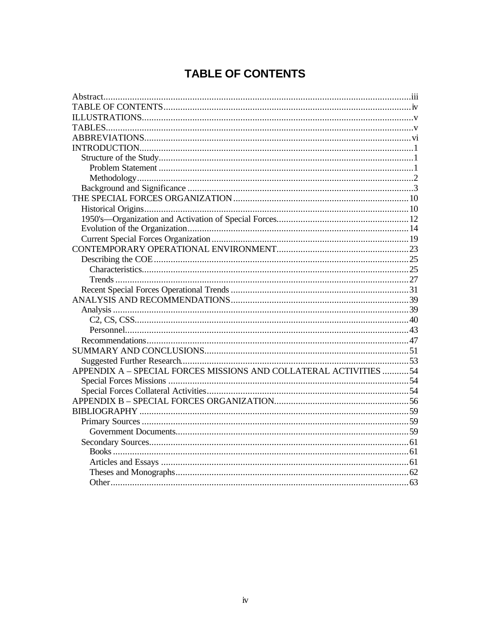# **TABLE OF CONTENTS**

| APPENDIX A - SPECIAL FORCES MISSIONS AND COLLATERAL ACTIVITIES 54 |  |
|-------------------------------------------------------------------|--|
|                                                                   |  |
|                                                                   |  |
|                                                                   |  |
|                                                                   |  |
|                                                                   |  |
|                                                                   |  |
|                                                                   |  |
|                                                                   |  |
|                                                                   |  |
|                                                                   |  |
|                                                                   |  |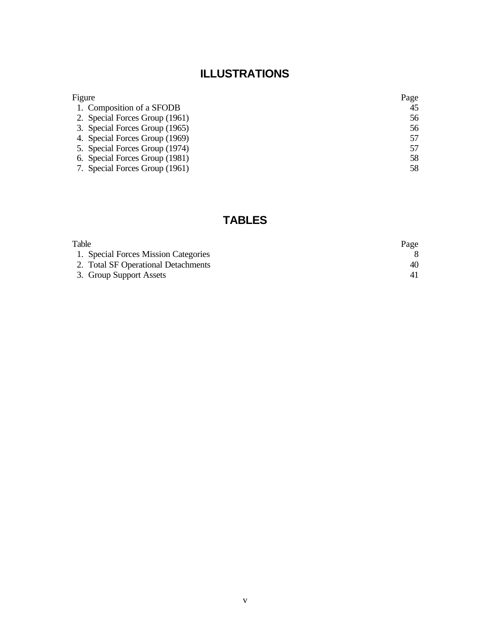# **ILLUSTRATIONS**

| Figure                         | Page |
|--------------------------------|------|
| 1. Composition of a SFODB      | 45   |
| 2. Special Forces Group (1961) | 56   |
| 3. Special Forces Group (1965) | 56   |
| 4. Special Forces Group (1969) | 57   |
| 5. Special Forces Group (1974) | 57   |
| 6. Special Forces Group (1981) | 58   |
| 7. Special Forces Group (1961) | 58   |

## **TABLES**

| Table                                | Page |
|--------------------------------------|------|
| 1. Special Forces Mission Categories |      |
| 2. Total SF Operational Detachments  | 40   |
| 3. Group Support Assets              |      |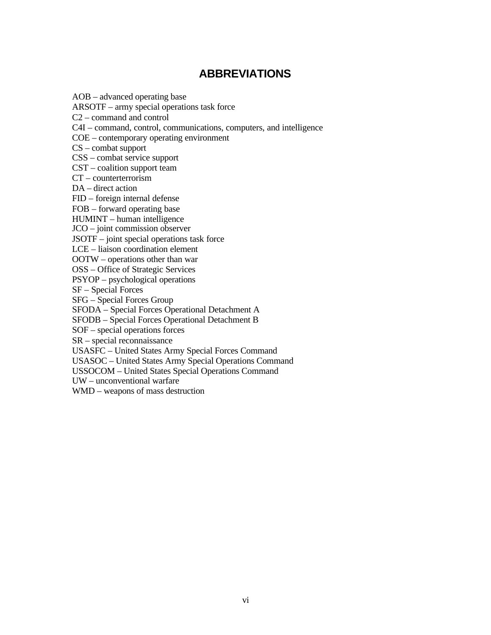## **ABBREVIATIONS**

AOB – advanced operating base

ARSOTF – army special operations task force

C2 – command and control

C4I – command, control, communications, computers, and intelligence

COE – contemporary operating environment

CS – combat support

CSS – combat service support

CST – coalition support team

CT – counterterrorism

DA – direct action

FID – foreign internal defense

FOB – forward operating base

HUMINT – human intelligence

JCO – joint commission observer

JSOTF – joint special operations task force

LCE – liaison coordination element

OOTW – operations other than war

OSS – Office of Strategic Services

PSYOP – psychological operations

SF – Special Forces

SFG – Special Forces Group

SFODA – Special Forces Operational Detachment A

SFODB – Special Forces Operational Detachment B

SOF – special operations forces

SR – special reconnaissance

USASFC – United States Army Special Forces Command

USASOC – United States Army Special Operations Command

USSOCOM – United States Special Operations Command

UW – unconventional warfare

WMD – weapons of mass destruction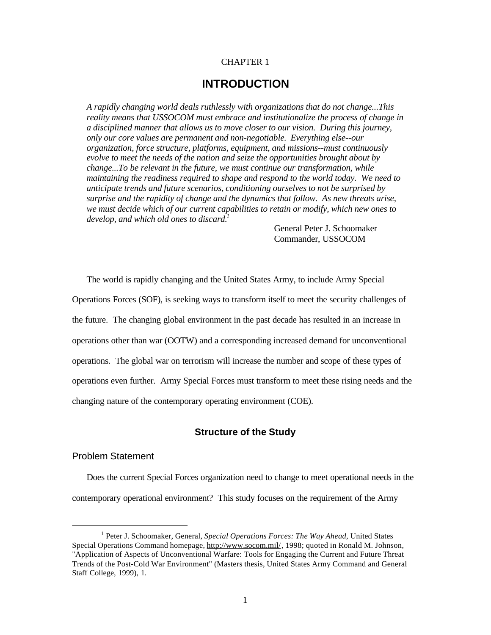## CHAPTER 1

## **INTRODUCTION**

*A rapidly changing world deals ruthlessly with organizations that do not change...This reality means that USSOCOM must embrace and institutionalize the process of change in a disciplined manner that allows us to move closer to our vision. During this journey, only our core values are permanent and non-negotiable. Everything else--our organization, force structure, platforms, equipment, and missions--must continuously evolve to meet the needs of the nation and seize the opportunities brought about by change...To be relevant in the future, we must continue our transformation, while maintaining the readiness required to shape and respond to the world today. We need to anticipate trends and future scenarios, conditioning ourselves to not be surprised by surprise and the rapidity of change and the dynamics that follow. As new threats arise, we must decide which of our current capabilities to retain or modify, which new ones to develop, and which old ones to discard.*<sup>1</sup>

> General Peter J. Schoomaker Commander, USSOCOM

The world is rapidly changing and the United States Army, to include Army Special Operations Forces (SOF), is seeking ways to transform itself to meet the security challenges of the future. The changing global environment in the past decade has resulted in an increase in operations other than war (OOTW) and a corresponding increased demand for unconventional operations. The global war on terrorism will increase the number and scope of these types of operations even further. Army Special Forces must transform to meet these rising needs and the changing nature of the contemporary operating environment (COE).

## **Structure of the Study**

## Problem Statement

Does the current Special Forces organization need to change to meet operational needs in the contemporary operational environment? This study focuses on the requirement of the Army

<sup>&</sup>lt;sup>1</sup> Peter J. Schoomaker, General, *Special Operations Forces: The Way Ahead*, United States Special Operations Command homepage, http://www.socom.mil/ , 1998; quoted in Ronald M. Johnson, "Application of Aspects of Unconventional Warfare: Tools for Engaging the Current and Future Threat Trends of the Post-Cold War Environment" (Masters thesis, United States Army Command and General Staff College, 1999), 1.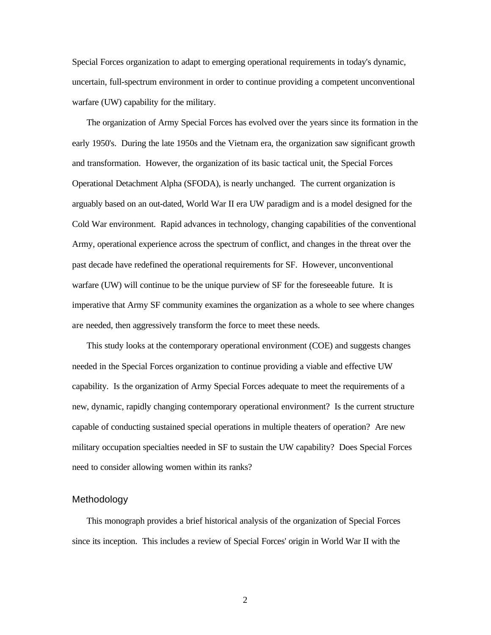Special Forces organization to adapt to emerging operational requirements in today's dynamic, uncertain, full-spectrum environment in order to continue providing a competent unconventional warfare (UW) capability for the military.

The organization of Army Special Forces has evolved over the years since its formation in the early 1950's. During the late 1950s and the Vietnam era, the organization saw significant growth and transformation. However, the organization of its basic tactical unit, the Special Forces Operational Detachment Alpha (SFODA), is nearly unchanged. The current organization is arguably based on an out-dated, World War II era UW paradigm and is a model designed for the Cold War environment. Rapid advances in technology, changing capabilities of the conventional Army, operational experience across the spectrum of conflict, and changes in the threat over the past decade have redefined the operational requirements for SF. However, unconventional warfare (UW) will continue to be the unique purview of SF for the foreseeable future. It is imperative that Army SF community examines the organization as a whole to see where changes are needed, then aggressively transform the force to meet these needs.

This study looks at the contemporary operational environment (COE) and suggests changes needed in the Special Forces organization to continue providing a viable and effective UW capability. Is the organization of Army Special Forces adequate to meet the requirements of a new, dynamic, rapidly changing contemporary operational environment? Is the current structure capable of conducting sustained special operations in multiple theaters of operation? Are new military occupation specialties needed in SF to sustain the UW capability? Does Special Forces need to consider allowing women within its ranks?

#### Methodology

This monograph provides a brief historical analysis of the organization of Special Forces since its inception. This includes a review of Special Forces' origin in World War II with the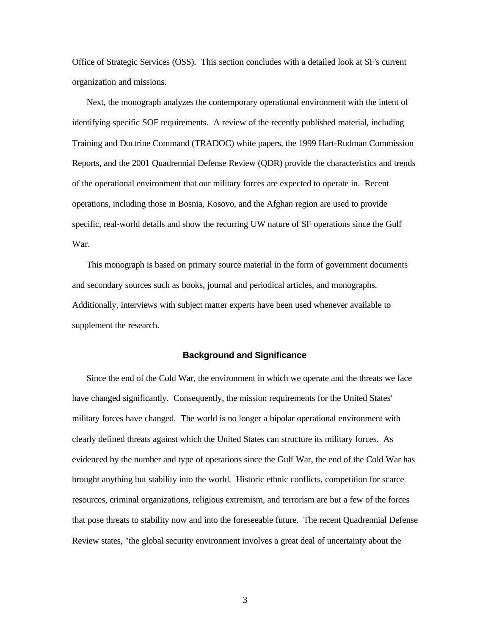Office of Strategic Services (OSS). This section concludes with a detailed look at SF's current organization and missions.

Next, the monograph analyzes the contemporary operational environment with the intent of identifying specific SOF requirements. A review of the recently published material, including Training and Doctrine Command (TRADOC) white papers, the 1999 Hart-Rudman Commission Reports, and the 2001 Quadrennial Defense Review (QDR) provide the characteristics and trends of the operational environment that our military forces are expected to operate in. Recent operations, including those in Bosnia, Kosovo, and the Afghan region are used to provide specific, real-world details and show the recurring UW nature of SF operations since the Gulf War.

This monograph is based on primary source material in the form of government documents and secondary sources such as books, journal and periodical articles, and monographs. Additionally, interviews with subject matter experts have been used whenever available to supplement the research.

#### **Background and Significance**

Since the end of the Cold War, the environment in which we operate and the threats we face have changed significantly. Consequently, the mission requirements for the United States' military forces have changed. The world is no longer a bipolar operational environment with clearly defined threats against which the United States can structure its military forces. As evidenced by the number and type of operations since the Gulf War, the end of the Cold War has brought anything but stability into the world. Historic ethnic conflicts, competition for scarce resources, criminal organizations, religious extremism, and terrorism are but a few of the forces that pose threats to stability now and into the foreseeable future. The recent Quadrennial Defense Review states, "the global security environment involves a great deal of uncertainty about the

3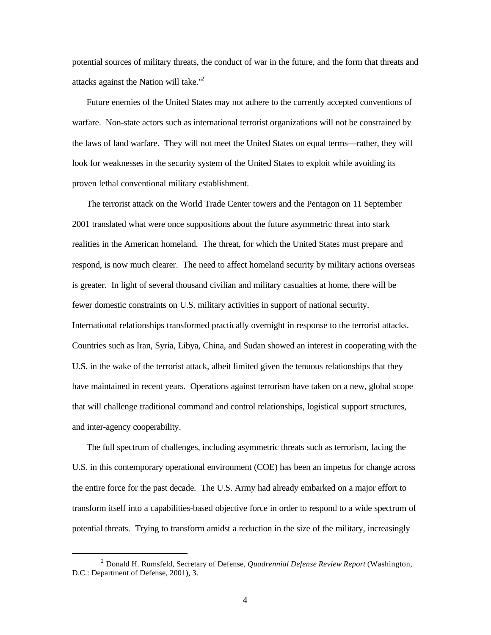potential sources of military threats, the conduct of war in the future, and the form that threats and attacks against the Nation will take. $"$ <sup>2</sup>

Future enemies of the United States may not adhere to the currently accepted conventions of warfare. Non-state actors such as international terrorist organizations will not be constrained by the laws of land warfare. They will not meet the United States on equal terms—rather, they will look for weaknesses in the security system of the United States to exploit while avoiding its proven lethal conventional military establishment.

The terrorist attack on the World Trade Center towers and the Pentagon on 11 September 2001 translated what were once suppositions about the future asymmetric threat into stark realities in the American homeland. The threat, for which the United States must prepare and respond, is now much clearer. The need to affect homeland security by military actions overseas is greater. In light of several thousand civilian and military casualties at home, there will be fewer domestic constraints on U.S. military activities in support of national security. International relationships transformed practically overnight in response to the terrorist attacks. Countries such as Iran, Syria, Libya, China, and Sudan showed an interest in cooperating with the U.S. in the wake of the terrorist attack, albeit limited given the tenuous relationships that they have maintained in recent years. Operations against terrorism have taken on a new, global scope that will challenge traditional command and control relationships, logistical support structures, and inter-agency cooperability.

The full spectrum of challenges, including asymmetric threats such as terrorism, facing the U.S. in this contemporary operational environment (COE) has been an impetus for change across the entire force for the past decade. The U.S. Army had already embarked on a major effort to transform itself into a capabilities-based objective force in order to respond to a wide spectrum of potential threats. Trying to transform amidst a reduction in the size of the military, increasingly

<sup>2</sup> Donald H. Rumsfeld, Secretary of Defense, *Quadrennial Defense Review Report* (Washington, D.C.: Department of Defense, 2001), 3.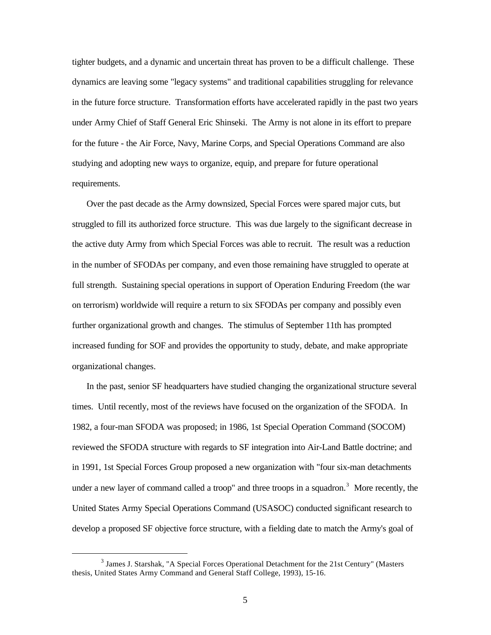tighter budgets, and a dynamic and uncertain threat has proven to be a difficult challenge. These dynamics are leaving some "legacy systems" and traditional capabilities struggling for relevance in the future force structure. Transformation efforts have accelerated rapidly in the past two years under Army Chief of Staff General Eric Shinseki. The Army is not alone in its effort to prepare for the future - the Air Force, Navy, Marine Corps, and Special Operations Command are also studying and adopting new ways to organize, equip, and prepare for future operational requirements.

Over the past decade as the Army downsized, Special Forces were spared major cuts, but struggled to fill its authorized force structure. This was due largely to the significant decrease in the active duty Army from which Special Forces was able to recruit. The result was a reduction in the number of SFODAs per company, and even those remaining have struggled to operate at full strength. Sustaining special operations in support of Operation Enduring Freedom (the war on terrorism) worldwide will require a return to six SFODAs per company and possibly even further organizational growth and changes. The stimulus of September 11th has prompted increased funding for SOF and provides the opportunity to study, debate, and make appropriate organizational changes.

In the past, senior SF headquarters have studied changing the organizational structure several times. Until recently, most of the reviews have focused on the organization of the SFODA. In 1982, a four-man SFODA was proposed; in 1986, 1st Special Operation Command (SOCOM) reviewed the SFODA structure with regards to SF integration into Air-Land Battle doctrine; and in 1991, 1st Special Forces Group proposed a new organization with "four six-man detachments under a new layer of command called a troop" and three troops in a squadron.<sup>3</sup> More recently, the United States Army Special Operations Command (USASOC) conducted significant research to develop a proposed SF objective force structure, with a fielding date to match the Army's goal of

<sup>&</sup>lt;sup>3</sup> James J. Starshak, "A Special Forces Operational Detachment for the 21st Century" (Masters thesis, United States Army Command and General Staff College, 1993), 15-16.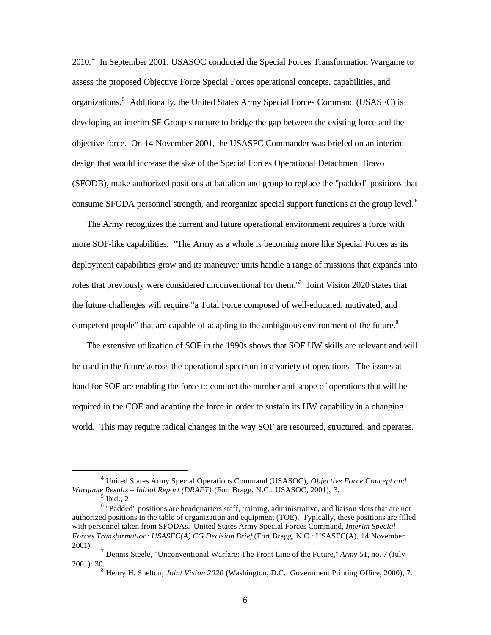2010.<sup>4</sup> In September 2001, USASOC conducted the Special Forces Transformation Wargame to assess the proposed Objective Force Special Forces operational concepts, capabilities, and organizations.<sup>5</sup> Additionally, the United States Army Special Forces Command (USASFC) is developing an interim SF Group structure to bridge the gap between the existing force and the objective force. On 14 November 2001, the USASFC Commander was briefed on an interim design that would increase the size of the Special Forces Operational Detachment Bravo (SFODB), make authorized positions at battalion and group to replace the "padded" positions that consume SFODA personnel strength, and reorganize special support functions at the group level.<sup>6</sup>

The Army recognizes the current and future operational environment requires a force with more SOF-like capabilities. "The Army as a whole is becoming more like Special Forces as its deployment capabilities grow and its maneuver units handle a range of missions that expands into roles that previously were considered unconventional for them.<sup>"7</sup> Joint Vision 2020 states that the future challenges will require "a Total Force composed of well-educated, motivated, and competent people" that are capable of adapting to the ambiguous environment of the future.<sup>8</sup>

The extensive utilization of SOF in the 1990s shows that SOF UW skills are relevant and will be used in the future across the operational spectrum in a variety of operations. The issues at hand for SOF are enabling the force to conduct the number and scope of operations that will be required in the COE and adapting the force in order to sustain its UW capability in a changing world. This may require radical changes in the way SOF are resourced, structured, and operates.

<sup>4</sup> United States Army Special Operations Command (USASOC), *Objective Force Concept and Wargame Results – Initial Report (DRAFT)* (Fort Bragg, N.C.: USASOC, 2001), 3.  $<sup>5</sup>$  Ibid., 2.</sup>

 $6$  "Padded" positions are headquarters staff, training, administrative, and liaison slots that are not authorized positions in the table of organization and equipment (TOE). Typically, these positions are filled with personnel taken from SFODAs. United States Army Special Forces Command, *Interim Special Forces Transformation: USASFC(A) CG Decision Brief* (Fort Bragg, N.C.: USASFC(A), 14 November 2001).

<sup>7</sup> Dennis Steele, "Unconventional Warfare: The Front Line of the Future," *Army* 51, no. 7 (July 2001): 30.

<sup>8</sup> Henry H. Shelton, *Joint Vision 2020* (Washington, D.C.: Government Printing Office, 2000), 7.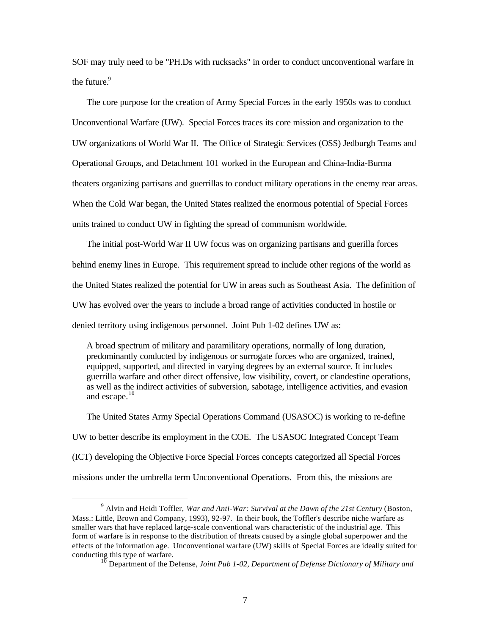SOF may truly need to be "PH.Ds with rucksacks" in order to conduct unconventional warfare in the future. $9$ 

The core purpose for the creation of Army Special Forces in the early 1950s was to conduct Unconventional Warfare (UW). Special Forces traces its core mission and organization to the UW organizations of World War II. The Office of Strategic Services (OSS) Jedburgh Teams and Operational Groups, and Detachment 101 worked in the European and China-India-Burma theaters organizing partisans and guerrillas to conduct military operations in the enemy rear areas. When the Cold War began, the United States realized the enormous potential of Special Forces units trained to conduct UW in fighting the spread of communism worldwide.

The initial post-World War II UW focus was on organizing partisans and guerilla forces behind enemy lines in Europe. This requirement spread to include other regions of the world as the United States realized the potential for UW in areas such as Southeast Asia. The definition of UW has evolved over the years to include a broad range of activities conducted in hostile or denied territory using indigenous personnel. Joint Pub 1-02 defines UW as:

A broad spectrum of military and paramilitary operations, normally of long duration, predominantly conducted by indigenous or surrogate forces who are organized, trained, equipped, supported, and directed in varying degrees by an external source. It includes guerrilla warfare and other direct offensive, low visibility, covert, or clandestine operations, as well as the indirect activities of subversion, sabotage, intelligence activities, and evasion and escape. $10$ 

The United States Army Special Operations Command (USASOC) is working to re-define UW to better describe its employment in the COE. The USASOC Integrated Concept Team (ICT) developing the Objective Force Special Forces concepts categorized all Special Forces missions under the umbrella term Unconventional Operations. From this, the missions are

<sup>9</sup> Alvin and Heidi Toffler, *War and Anti-War: Survival at the Dawn of the 21st Century* (Boston, Mass.: Little, Brown and Company, 1993), 92-97. In their book, the Toffler's describe niche warfare as smaller wars that have replaced large-scale conventional wars characteristic of the industrial age. This form of warfare is in response to the distribution of threats caused by a single global superpower and the effects of the information age. Unconventional warfare (UW) skills of Special Forces are ideally suited for conducting this type of warfare.

<sup>10</sup> Department of the Defense, *Joint Pub 1-02, Department of Defense Dictionary of Military and*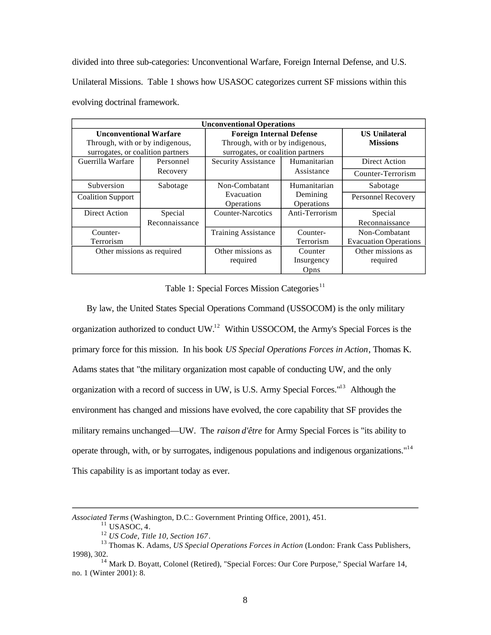divided into three sub-categories: Unconventional Warfare, Foreign Internal Defense, and U.S. Unilateral Missions. Table 1 shows how USASOC categorizes current SF missions within this evolving doctrinal framework.

| <b>Unconventional Operations</b>  |                |                                   |                                 |                              |
|-----------------------------------|----------------|-----------------------------------|---------------------------------|------------------------------|
| <b>Unconventional Warfare</b>     |                | <b>Foreign Internal Defense</b>   |                                 | <b>US Unilateral</b>         |
| Through, with or by indigenous,   |                |                                   | Through, with or by indigenous, |                              |
| surrogates, or coalition partners |                | surrogates, or coalition partners |                                 |                              |
| Guerrilla Warfare                 | Personnel      | Security Assistance               | Humanitarian                    | Direct Action                |
|                                   | Recovery       |                                   | Assistance                      | Counter-Terrorism            |
| Subversion                        | Sabotage       | Non-Combatant                     | Humanitarian                    | Sabotage                     |
| <b>Coalition Support</b>          |                | Evacuation                        | Demining                        | Personnel Recovery           |
|                                   |                | Operations                        | Operations                      |                              |
| Direct Action                     | Special        | <b>Counter-Narcotics</b>          | Anti-Terrorism                  | Special                      |
|                                   | Reconnaissance |                                   |                                 | Reconnaissance               |
| Counter-                          |                | <b>Training Assistance</b>        | Counter-                        | Non-Combatant                |
| Terrorism                         |                |                                   | Terrorism                       | <b>Evacuation Operations</b> |
| Other missions as required        |                | Other missions as                 | Counter                         | Other missions as            |
|                                   |                | required                          | Insurgency                      | required                     |
|                                   |                |                                   | Opns                            |                              |

Table 1: Special Forces Mission Categories<sup>11</sup>

By law, the United States Special Operations Command (USSOCOM) is the only military organization authorized to conduct UW.12 Within USSOCOM, the Army's Special Forces is the primary force for this mission. In his book *US Special Operations Forces in Action*, Thomas K. Adams states that "the military organization most capable of conducting UW, and the only organization with a record of success in UW, is U.S. Army Special Forces."<sup>13</sup> Although the environment has changed and missions have evolved, the core capability that SF provides the military remains unchanged—UW. The *raison d'être* for Army Special Forces is "its ability to operate through, with, or by surrogates, indigenous populations and indigenous organizations."14 This capability is as important today as ever.

*Associated Terms* (Washington, D.C.: Government Printing Office, 2001), 451.

<sup>&</sup>lt;sup>11</sup> USASOC, 4.<br><sup>12</sup> US Code, Title 10, Section 167.

<sup>&</sup>lt;sup>13</sup> Thomas K. Adams, *US Special Operations Forces in Action* (London: Frank Cass Publishers, 1998), 302.

<sup>&</sup>lt;sup>14</sup> Mark D. Boyatt, Colonel (Retired), "Special Forces: Our Core Purpose," Special Warfare 14, no. 1 (Winter 2001): 8.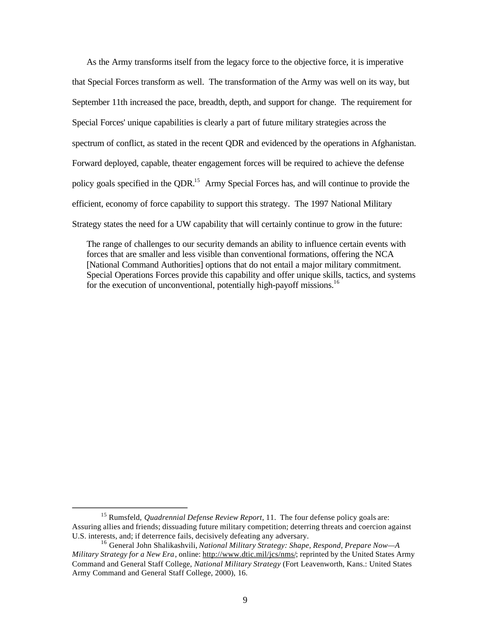As the Army transforms itself from the legacy force to the objective force, it is imperative that Special Forces transform as well. The transformation of the Army was well on its way, but September 11th increased the pace, breadth, depth, and support for change. The requirement for Special Forces' unique capabilities is clearly a part of future military strategies across the spectrum of conflict, as stated in the recent QDR and evidenced by the operations in Afghanistan. Forward deployed, capable, theater engagement forces will be required to achieve the defense policy goals specified in the QDR.<sup>15</sup> Army Special Forces has, and will continue to provide the efficient, economy of force capability to support this strategy. The 1997 National Military Strategy states the need for a UW capability that will certainly continue to grow in the future:

The range of challenges to our security demands an ability to influence certain events with forces that are smaller and less visible than conventional formations, offering the NCA [National Command Authorities] options that do not entail a major military commitment. Special Operations Forces provide this capability and offer unique skills, tactics, and systems for the execution of unconventional, potentially high-payoff missions.<sup>16</sup>

<sup>15</sup> Rumsfeld, *Quadrennial Defense Review Report*, 11. The four defense policy goals are: Assuring allies and friends; dissuading future military competition; deterring threats and coercion against U.S. interests, and; if deterrence fails, decisively defeating any adversary.

<sup>16</sup> General John Shalikashvili, *National Military Strategy: Shape, Respond, Prepare Now—A Military Strategy for a New Era* , online: http://www.dtic.mil/jcs/nms/; reprinted by the United States Army Command and General Staff College, *National Military Strategy* (Fort Leavenworth, Kans.: United States Army Command and General Staff College, 2000), 16.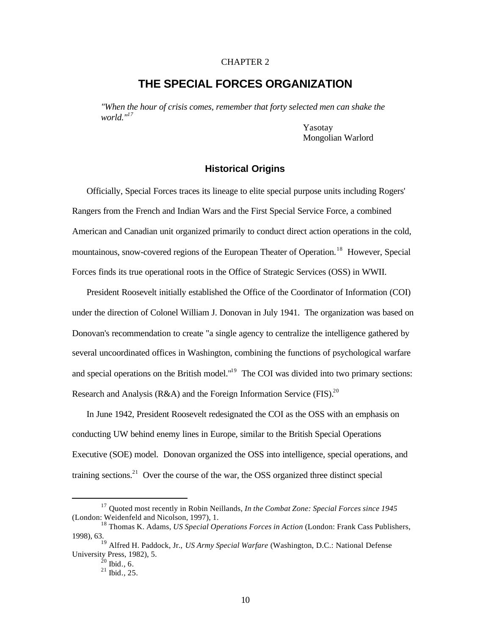## CHAPTER 2

## **THE SPECIAL FORCES ORGANIZATION**

*"When the hour of crisis comes, remember that forty selected men can shake the world."17* 

> Yasotay Mongolian Warlord

#### **Historical Origins**

Officially, Special Forces traces its lineage to elite special purpose units including Rogers' Rangers from the French and Indian Wars and the First Special Service Force, a combined American and Canadian unit organized primarily to conduct direct action operations in the cold, mountainous, snow-covered regions of the European Theater of Operation.<sup>18</sup> However, Special Forces finds its true operational roots in the Office of Strategic Services (OSS) in WWII.

President Roosevelt initially established the Office of the Coordinator of Information (COI) under the direction of Colonel William J. Donovan in July 1941. The organization was based on Donovan's recommendation to create "a single agency to centralize the intelligence gathered by several uncoordinated offices in Washington, combining the functions of psychological warfare and special operations on the British model."<sup>19</sup> The COI was divided into two primary sections: Research and Analysis (R&A) and the Foreign Information Service (FIS).<sup>20</sup>

In June 1942, President Roosevelt redesignated the COI as the OSS with an emphasis on conducting UW behind enemy lines in Europe, similar to the British Special Operations Executive (SOE) model. Donovan organized the OSS into intelligence, special operations, and training sections.<sup>21</sup> Over the course of the war, the OSS organized three distinct special

<sup>17</sup> Quoted most recently in Robin Neillands, *In the Combat Zone: Special Forces since 1945*  (London: Weidenfeld and Nicolson, 1997), 1.

<sup>18</sup> Thomas K. Adams, *US Special Operations Forces in Action* (London: Frank Cass Publishers, 1998), 63.

<sup>19</sup> Alfred H. Paddock, Jr., *US Army Special Warfare* (Washington, D.C.: National Defense University Press, 1982), 5. University Press, 1982), 5.<br> $^{20}$  Ibid., 6.

 $^{21}$  Ibid., 25.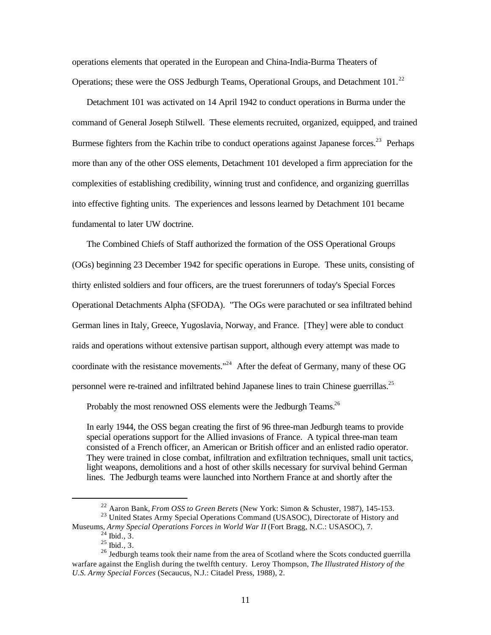operations elements that operated in the European and China-India-Burma Theaters of Operations; these were the OSS Jedburgh Teams, Operational Groups, and Detachment 101.<sup>22</sup>

Detachment 101 was activated on 14 April 1942 to conduct operations in Burma under the command of General Joseph Stilwell. These elements recruited, organized, equipped, and trained Burmese fighters from the Kachin tribe to conduct operations against Japanese forces.<sup>23</sup> Perhaps more than any of the other OSS elements, Detachment 101 developed a firm appreciation for the complexities of establishing credibility, winning trust and confidence, and organizing guerrillas into effective fighting units. The experiences and lessons learned by Detachment 101 became fundamental to later UW doctrine.

The Combined Chiefs of Staff authorized the formation of the OSS Operational Groups (OGs) beginning 23 December 1942 for specific operations in Europe. These units, consisting of thirty enlisted soldiers and four officers, are the truest forerunners of today's Special Forces Operational Detachments Alpha (SFODA). "The OGs were parachuted or sea infiltrated behind German lines in Italy, Greece, Yugoslavia, Norway, and France. [They] were able to conduct raids and operations without extensive partisan support, although every attempt was made to coordinate with the resistance movements."<sup>24</sup> After the defeat of Germany, many of these OG personnel were re-trained and infiltrated behind Japanese lines to train Chinese guerrillas.<sup>25</sup>

Probably the most renowned OSS elements were the Jedburgh Teams.<sup>26</sup>

In early 1944, the OSS began creating the first of 96 three-man Jedburgh teams to provide special operations support for the Allied invasions of France. A typical three-man team consisted of a French officer, an American or British officer and an enlisted radio operator. They were trained in close combat, infiltration and exfiltration techniques, small unit tactics, light weapons, demolitions and a host of other skills necessary for survival behind German lines. The Jedburgh teams were launched into Northern France at and shortly after the

<sup>22</sup> Aaron Bank, *From OSS to Green Berets* (New York: Simon & Schuster, 1987), 145-153.

<sup>&</sup>lt;sup>23</sup> United States Army Special Operations Command (USASOC), Directorate of History and Museums, *Army Special Operations Forces in World War II* (Fort Bragg, N.C.: USASOC), 7.

 $^{24}$  Ibid., 3.

 $^{25}$  Ibid., 3.

<sup>&</sup>lt;sup>26</sup> Jedburgh teams took their name from the area of Scotland where the Scots conducted guerrilla warfare against the English during the twelfth century. Leroy Thompson, *The Illustrated History of the U.S. Army Special Forces* (Secaucus, N.J.: Citadel Press, 1988), 2.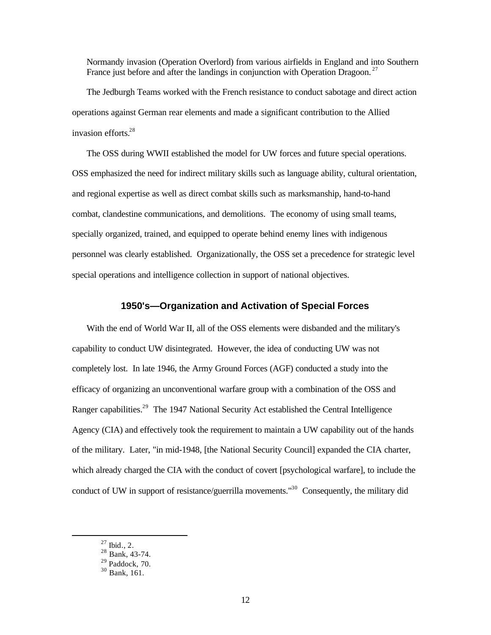Normandy invasion (Operation Overlord) from various airfields in England and into Southern France just before and after the landings in conjunction with Operation Dragoon.<sup>27</sup>

The Jedburgh Teams worked with the French resistance to conduct sabotage and direct action operations against German rear elements and made a significant contribution to the Allied invasion efforts.28

The OSS during WWII established the model for UW forces and future special operations. OSS emphasized the need for indirect military skills such as language ability, cultural orientation, and regional expertise as well as direct combat skills such as marksmanship, hand-to-hand combat, clandestine communications, and demolitions. The economy of using small teams, specially organized, trained, and equipped to operate behind enemy lines with indigenous personnel was clearly established. Organizationally, the OSS set a precedence for strategic level special operations and intelligence collection in support of national objectives.

## **1950's—Organization and Activation of Special Forces**

With the end of World War II, all of the OSS elements were disbanded and the military's capability to conduct UW disintegrated. However, the idea of conducting UW was not completely lost. In late 1946, the Army Ground Forces (AGF) conducted a study into the efficacy of organizing an unconventional warfare group with a combination of the OSS and Ranger capabilities.<sup>29</sup> The 1947 National Security Act established the Central Intelligence Agency (CIA) and effectively took the requirement to maintain a UW capability out of the hands of the military. Later, "in mid-1948, [the National Security Council] expanded the CIA charter, which already charged the CIA with the conduct of covert [psychological warfare], to include the conduct of UW in support of resistance/guerrilla movements.<sup>"30</sup> Consequently, the military did

 $^{27}$  Ibid., 2.

 $^{28}$  Bank, 43-74.

 $29$  Paddock, 70.

<sup>30</sup> Bank, 161.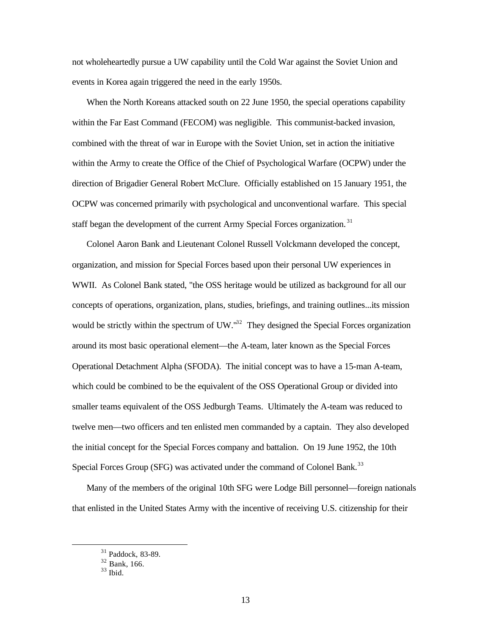not wholeheartedly pursue a UW capability until the Cold War against the Soviet Union and events in Korea again triggered the need in the early 1950s.

When the North Koreans attacked south on 22 June 1950, the special operations capability within the Far East Command (FECOM) was negligible. This communist-backed invasion, combined with the threat of war in Europe with the Soviet Union, set in action the initiative within the Army to create the Office of the Chief of Psychological Warfare (OCPW) under the direction of Brigadier General Robert McClure. Officially established on 15 January 1951, the OCPW was concerned primarily with psychological and unconventional warfare. This special staff began the development of the current Army Special Forces organization.<sup>31</sup>

Colonel Aaron Bank and Lieutenant Colonel Russell Volckmann developed the concept, organization, and mission for Special Forces based upon their personal UW experiences in WWII. As Colonel Bank stated, "the OSS heritage would be utilized as background for all our concepts of operations, organization, plans, studies, briefings, and training outlines...its mission would be strictly within the spectrum of UW.<sup>132</sup> They designed the Special Forces organization around its most basic operational element—the A-team, later known as the Special Forces Operational Detachment Alpha (SFODA). The initial concept was to have a 15-man A-team, which could be combined to be the equivalent of the OSS Operational Group or divided into smaller teams equivalent of the OSS Jedburgh Teams. Ultimately the A-team was reduced to twelve men—two officers and ten enlisted men commanded by a captain. They also developed the initial concept for the Special Forces company and battalion. On 19 June 1952, the 10th Special Forces Group (SFG) was activated under the command of Colonel Bank.<sup>33</sup>

Many of the members of the original 10th SFG were Lodge Bill personnel—foreign nationals that enlisted in the United States Army with the incentive of receiving U.S. citizenship for their

<sup>31</sup> Paddock, 83-89.

<sup>32</sup> Bank, 166.

 $33$  Ibid.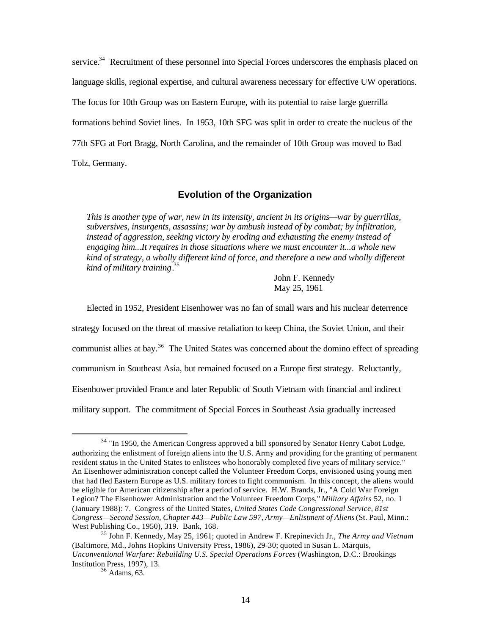service.<sup>34</sup> Recruitment of these personnel into Special Forces underscores the emphasis placed on language skills, regional expertise, and cultural awareness necessary for effective UW operations. The focus for 10th Group was on Eastern Europe, with its potential to raise large guerrilla formations behind Soviet lines. In 1953, 10th SFG was split in order to create the nucleus of the 77th SFG at Fort Bragg, North Carolina, and the remainder of 10th Group was moved to Bad Tolz, Germany.

## **Evolution of the Organization**

*This is another type of war, new in its intensity, ancient in its origins—war by guerrillas, subversives, insurgents, assassins; war by ambush instead of by combat; by infiltration, instead of aggression, seeking victory by eroding and exhausting the enemy instead of engaging him...It requires in those situations where we must encounter it...a whole new kind of strategy, a wholly different kind of force, and therefore a new and wholly different kind of military training*. 35

> John F. Kennedy May 25, 1961

Elected in 1952, President Eisenhower was no fan of small wars and his nuclear deterrence

strategy focused on the threat of massive retaliation to keep China, the Soviet Union, and their

communist allies at bay.<sup>36</sup> The United States was concerned about the domino effect of spreading

communism in Southeast Asia, but remained focused on a Europe first strategy. Reluctantly,

Eisenhower provided France and later Republic of South Vietnam with financial and indirect

military support. The commitment of Special Forces in Southeast Asia gradually increased

<sup>&</sup>lt;sup>34</sup> "In 1950, the American Congress approved a bill sponsored by Senator Henry Cabot Lodge, authorizing the enlistment of foreign aliens into the U.S. Army and providing for the granting of permanent resident status in the United States to enlistees who honorably completed five years of military service." An Eisenhower administration concept called the Volunteer Freedom Corps, envisioned using young men that had fled Eastern Europe as U.S. military forces to fight communism. In this concept, the aliens would be eligible for American citizenship after a period of service. H.W. Brands, Jr., "A Cold War Foreign Legion? The Eisenhower Administration and the Volunteer Freedom Corps," *Military Affairs* 52, no. 1 (January 1988): 7. Congress of the United States, *United States Code Congressional Service, 81st Congress—Second Session, Chapter 443—Public Law 597, Army—Enlistment of Aliens* (St. Paul, Minn.: West Publishing Co., 1950), 319. Bank, 168.

<sup>35</sup> John F. Kennedy, May 25, 1961; quoted in Andrew F. Krepinevich Jr., *The Army and Vietnam*  (Baltimore, Md., Johns Hopkins University Press, 1986), 29-30; quoted in Susan L. Marquis, *Unconventional Warfare: Rebuilding U.S. Special Operations Forces* (Washington, D.C.: Brookings Institution Press, 1997), 13.

 $36$  Adams, 63.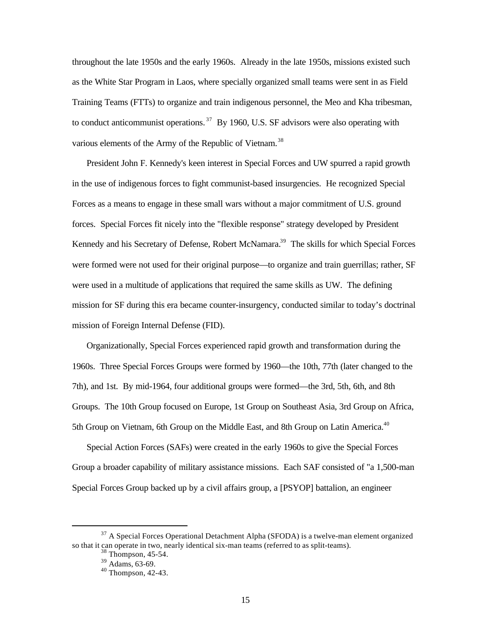throughout the late 1950s and the early 1960s. Already in the late 1950s, missions existed such as the White Star Program in Laos, where specially organized small teams were sent in as Field Training Teams (FTTs) to organize and train indigenous personnel, the Meo and Kha tribesman, to conduct anticommunist operations.<sup>37</sup> By 1960, U.S. SF advisors were also operating with various elements of the Army of the Republic of Vietnam.<sup>38</sup>

President John F. Kennedy's keen interest in Special Forces and UW spurred a rapid growth in the use of indigenous forces to fight communist-based insurgencies. He recognized Special Forces as a means to engage in these small wars without a major commitment of U.S. ground forces. Special Forces fit nicely into the "flexible response" strategy developed by President Kennedy and his Secretary of Defense, Robert McNamara.<sup>39</sup> The skills for which Special Forces were formed were not used for their original purpose—to organize and train guerrillas; rather, SF were used in a multitude of applications that required the same skills as UW. The defining mission for SF during this era became counter-insurgency, conducted similar to today's doctrinal mission of Foreign Internal Defense (FID).

Organizationally, Special Forces experienced rapid growth and transformation during the 1960s. Three Special Forces Groups were formed by 1960—the 10th, 77th (later changed to the 7th), and 1st. By mid-1964, four additional groups were formed—the 3rd, 5th, 6th, and 8th Groups. The 10th Group focused on Europe, 1st Group on Southeast Asia, 3rd Group on Africa, 5th Group on Vietnam, 6th Group on the Middle East, and 8th Group on Latin America.<sup>40</sup>

Special Action Forces (SAFs) were created in the early 1960s to give the Special Forces Group a broader capability of military assistance missions. Each SAF consisted of "a 1,500-man Special Forces Group backed up by a civil affairs group, a [PSYOP] battalion, an engineer

<sup>&</sup>lt;sup>37</sup> A Special Forces Operational Detachment Alpha (SFODA) is a twelve-man element organized so that it can operate in two, nearly identical six-man teams (referred to as split-teams).

<sup>38</sup> Thompson, 45-54.

 $39$  Adams, 63-69.

<sup>40</sup> Thompson, 42-43.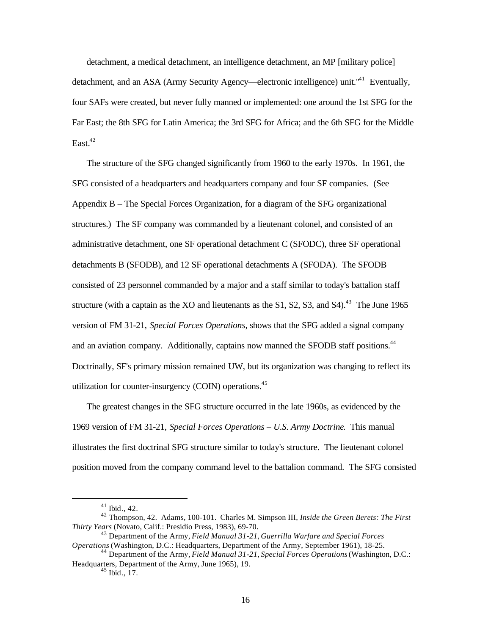detachment, a medical detachment, an intelligence detachment, an MP [military police] detachment, and an ASA (Army Security Agency—electronic intelligence) unit.<sup>"41</sup> Eventually, four SAFs were created, but never fully manned or implemented: one around the 1st SFG for the Far East; the 8th SFG for Latin America; the 3rd SFG for Africa; and the 6th SFG for the Middle East. $42$ 

The structure of the SFG changed significantly from 1960 to the early 1970s. In 1961, the SFG consisted of a headquarters and headquarters company and four SF companies. (See Appendix B – The Special Forces Organization, for a diagram of the SFG organizational structures.) The SF company was commanded by a lieutenant colonel, and consisted of an administrative detachment, one SF operational detachment C (SFODC), three SF operational detachments B (SFODB), and 12 SF operational detachments A (SFODA). The SFODB consisted of 23 personnel commanded by a major and a staff similar to today's battalion staff structure (with a captain as the XO and lieutenants as the S1, S2, S3, and S4).<sup>43</sup> The June 1965 version of FM 31-21, *Special Forces Operations*, shows that the SFG added a signal company and an aviation company. Additionally, captains now manned the SFODB staff positions.<sup>44</sup> Doctrinally, SF's primary mission remained UW, but its organization was changing to reflect its utilization for counter-insurgency (COIN) operations. $45$ 

The greatest changes in the SFG structure occurred in the late 1960s, as evidenced by the 1969 version of FM 31-21, *Special Forces Operations – U.S. Army Doctrine*. This manual illustrates the first doctrinal SFG structure similar to today's structure. The lieutenant colonel position moved from the company command level to the battalion command. The SFG consisted

<sup>41</sup> Ibid., 42.

<sup>42</sup> Thompson, 42. Adams, 100-101. Charles M. Simpson III, *Inside the Green Berets: The First Thirty Years* (Novato, Calif.: Presidio Press, 1983), 69-70.

<sup>43</sup> Department of the Army, *Field Manual 31-21, Guerrilla Warfare and Special Forces Operations* (Washington, D.C.: Headquarters, Department of the Army, September 1961), 18-25.

<sup>44</sup> Department of the Army, *Field Manual 31-21, Special Forces Operations* (Washington, D.C.: Headquarters, Department of the Army, June 1965), 19.

 $45$  Ibid., 17.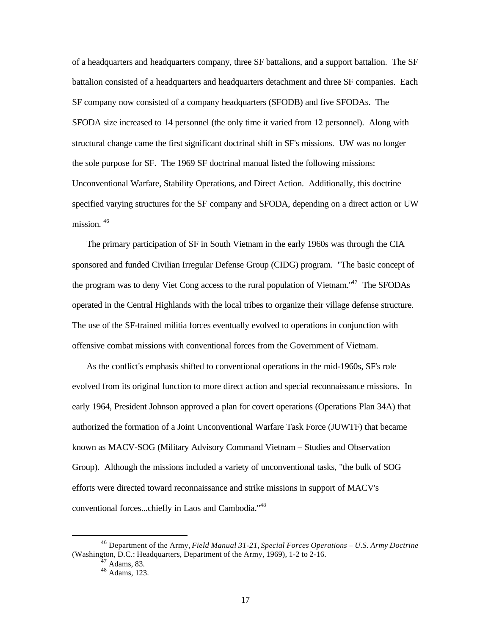of a headquarters and headquarters company, three SF battalions, and a support battalion. The SF battalion consisted of a headquarters and headquarters detachment and three SF companies. Each SF company now consisted of a company headquarters (SFODB) and five SFODAs. The SFODA size increased to 14 personnel (the only time it varied from 12 personnel). Along with structural change came the first significant doctrinal shift in SF's missions. UW was no longer the sole purpose for SF. The 1969 SF doctrinal manual listed the following missions: Unconventional Warfare, Stability Operations, and Direct Action. Additionally, this doctrine specified varying structures for the SF company and SFODA, depending on a direct action or UW mission.<sup>46</sup>

The primary participation of SF in South Vietnam in the early 1960s was through the CIA sponsored and funded Civilian Irregular Defense Group (CIDG) program. "The basic concept of the program was to deny Viet Cong access to the rural population of Vietnam. $147$  The SFODAs operated in the Central Highlands with the local tribes to organize their village defense structure. The use of the SF-trained militia forces eventually evolved to operations in conjunction with offensive combat missions with conventional forces from the Government of Vietnam.

As the conflict's emphasis shifted to conventional operations in the mid-1960s, SF's role evolved from its original function to more direct action and special reconnaissance missions. In early 1964, President Johnson approved a plan for covert operations (Operations Plan 34A) that authorized the formation of a Joint Unconventional Warfare Task Force (JUWTF) that became known as MACV-SOG (Military Advisory Command Vietnam – Studies and Observation Group). Although the missions included a variety of unconventional tasks, "the bulk of SOG efforts were directed toward reconnaissance and strike missions in support of MACV's conventional forces...chiefly in Laos and Cambodia."48

<sup>46</sup> Department of the Army, *Field Manual 31-21, Special Forces Operations – U.S. Army Doctrine*  (Washington, D.C.: Headquarters, Department of the Army, 1969), 1-2 to 2-16.

 $47$  Adams, 83.

 $48$  Adams, 123.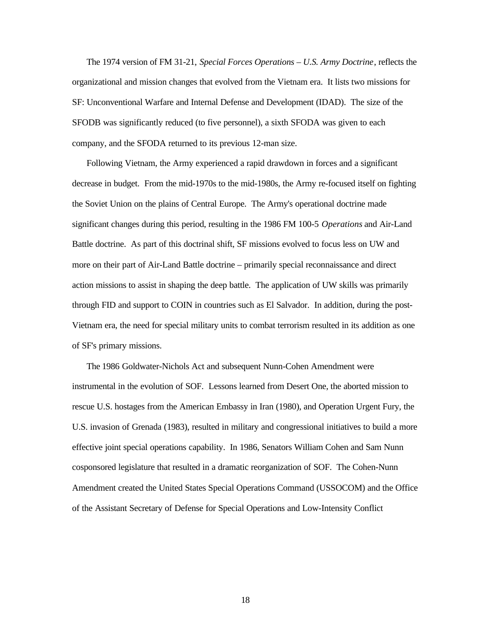The 1974 version of FM 31-21, *Special Forces Operations – U.S. Army Doctrine*, reflects the organizational and mission changes that evolved from the Vietnam era. It lists two missions for SF: Unconventional Warfare and Internal Defense and Development (IDAD). The size of the SFODB was significantly reduced (to five personnel), a sixth SFODA was given to each company, and the SFODA returned to its previous 12-man size.

Following Vietnam, the Army experienced a rapid drawdown in forces and a significant decrease in budget. From the mid-1970s to the mid-1980s, the Army re-focused itself on fighting the Soviet Union on the plains of Central Europe. The Army's operational doctrine made significant changes during this period, resulting in the 1986 FM 100-5 *Operations* and Air-Land Battle doctrine. As part of this doctrinal shift, SF missions evolved to focus less on UW and more on their part of Air-Land Battle doctrine – primarily special reconnaissance and direct action missions to assist in shaping the deep battle. The application of UW skills was primarily through FID and support to COIN in countries such as El Salvador. In addition, during the post-Vietnam era, the need for special military units to combat terrorism resulted in its addition as one of SF's primary missions.

The 1986 Goldwater-Nichols Act and subsequent Nunn-Cohen Amendment were instrumental in the evolution of SOF. Lessons learned from Desert One, the aborted mission to rescue U.S. hostages from the American Embassy in Iran (1980), and Operation Urgent Fury, the U.S. invasion of Grenada (1983), resulted in military and congressional initiatives to build a more effective joint special operations capability. In 1986, Senators William Cohen and Sam Nunn cosponsored legislature that resulted in a dramatic reorganization of SOF. The Cohen-Nunn Amendment created the United States Special Operations Command (USSOCOM) and the Office of the Assistant Secretary of Defense for Special Operations and Low-Intensity Conflict

18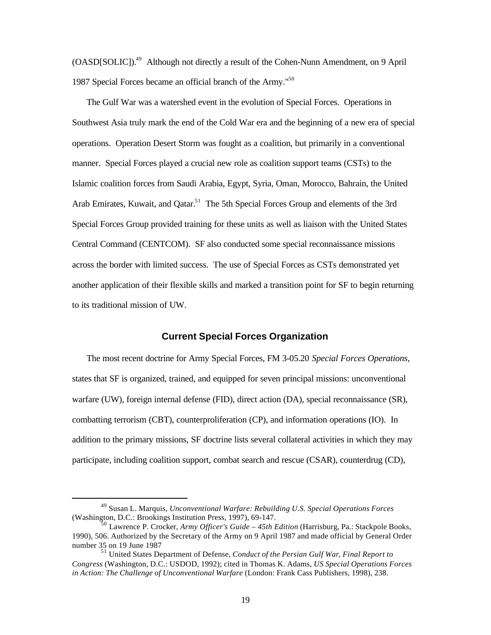(OASD[SOLIC]).49 Although not directly a result of the Cohen-Nunn Amendment, on 9 April 1987 Special Forces became an official branch of the Army."<sup>50</sup>

The Gulf War was a watershed event in the evolution of Special Forces. Operations in Southwest Asia truly mark the end of the Cold War era and the beginning of a new era of special operations. Operation Desert Storm was fought as a coalition, but primarily in a conventional manner. Special Forces played a crucial new role as coalition support teams (CSTs) to the Islamic coalition forces from Saudi Arabia, Egypt, Syria, Oman, Morocco, Bahrain, the United Arab Emirates, Kuwait, and Qatar.<sup>51</sup> The 5th Special Forces Group and elements of the 3rd Special Forces Group provided training for these units as well as liaison with the United States Central Command (CENTCOM). SF also conducted some special reconnaissance missions across the border with limited success. The use of Special Forces as CSTs demonstrated yet another application of their flexible skills and marked a transition point for SF to begin returning to its traditional mission of UW.

#### **Current Special Forces Organization**

The most recent doctrine for Army Special Forces, FM 3-05.20 *Special Forces Operations*, states that SF is organized, trained, and equipped for seven principal missions: unconventional warfare (UW), foreign internal defense (FID), direct action (DA), special reconnaissance (SR), combatting terrorism (CBT), counterproliferation (CP), and information operations (IO). In addition to the primary missions, SF doctrine lists several collateral activities in which they may participate, including coalition support, combat search and rescue (CSAR), counterdrug (CD),

<sup>49</sup> Susan L. Marquis, *Unconventional Warfare: Rebuilding U.S. Special Operations Forces*  (Washington, D.C.: Brookings Institution Press, 1997), 69-147.

<sup>50</sup> Lawrence P. Crocker, *Army Officer's Guide – 45th Edition* (Harrisburg, Pa.: Stackpole Books, 1990), 506. Authorized by the Secretary of the Army on 9 April 1987 and made official by General Order number 35 on 19 June 1987

<sup>51</sup> United States Department of Defense, *Conduct of the Persian Gulf War*, *Final Report to Congress* (Washington, D.C.: USDOD, 1992); cited in Thomas K. Adams, *US Special Operations Forces in Action: The Challenge of Unconventional Warfare* (London: Frank Cass Publishers, 1998), 238.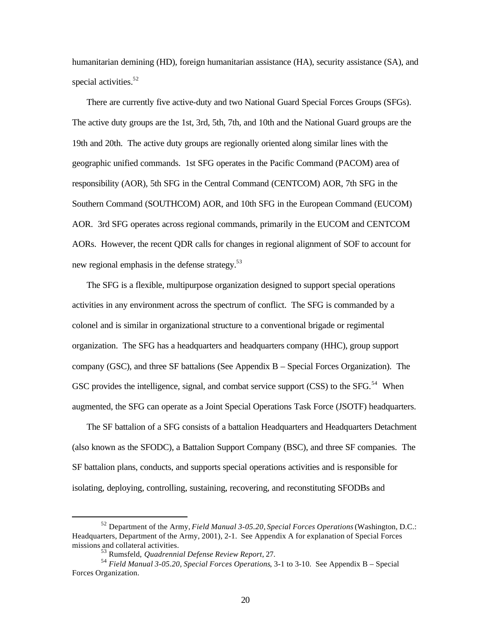humanitarian demining (HD), foreign humanitarian assistance (HA), security assistance (SA), and special activities.<sup>52</sup>

There are currently five active-duty and two National Guard Special Forces Groups (SFGs). The active duty groups are the 1st, 3rd, 5th, 7th, and 10th and the National Guard groups are the 19th and 20th. The active duty groups are regionally oriented along similar lines with the geographic unified commands. 1st SFG operates in the Pacific Command (PACOM) area of responsibility (AOR), 5th SFG in the Central Command (CENTCOM) AOR, 7th SFG in the Southern Command (SOUTHCOM) AOR, and 10th SFG in the European Command (EUCOM) AOR. 3rd SFG operates across regional commands, primarily in the EUCOM and CENTCOM AORs. However, the recent QDR calls for changes in regional alignment of SOF to account for new regional emphasis in the defense strategy.<sup>53</sup>

The SFG is a flexible, multipurpose organization designed to support special operations activities in any environment across the spectrum of conflict. The SFG is commanded by a colonel and is similar in organizational structure to a conventional brigade or regimental organization. The SFG has a headquarters and headquarters company (HHC), group support company (GSC), and three SF battalions (See Appendix B – Special Forces Organization). The GSC provides the intelligence, signal, and combat service support (CSS) to the SFG.<sup>54</sup> When augmented, the SFG can operate as a Joint Special Operations Task Force (JSOTF) headquarters.

The SF battalion of a SFG consists of a battalion Headquarters and Headquarters Detachment (also known as the SFODC), a Battalion Support Company (BSC), and three SF companies. The SF battalion plans, conducts, and supports special operations activities and is responsible for isolating, deploying, controlling, sustaining, recovering, and reconstituting SFODBs and

<sup>52</sup> Department of the Army, *Field Manual 3-05.20, Special Forces Operations* (Washington, D.C.: Headquarters, Department of the Army, 2001), 2-1. See Appendix A for explanation of Special Forces missions and collateral activities.

<sup>53</sup> Rumsfeld, *Quadrennial Defense Review Report*, 27.

<sup>54</sup>*Field Manual 3-05.20, Special Forces Operations*, 3-1 to 3-10. See Appendix B – Special Forces Organization.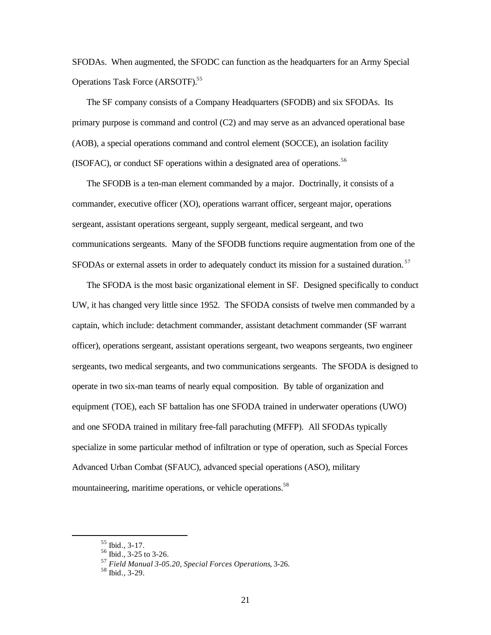SFODAs. When augmented, the SFODC can function as the headquarters for an Army Special Operations Task Force (ARSOTF).<sup>55</sup>

The SF company consists of a Company Headquarters (SFODB) and six SFODAs. Its primary purpose is command and control (C2) and may serve as an advanced operational base (AOB), a special operations command and control element (SOCCE), an isolation facility (ISOFAC), or conduct SF operations within a designated area of operations.<sup>56</sup>

The SFODB is a ten-man element commanded by a major. Doctrinally, it consists of a commander, executive officer (XO), operations warrant officer, sergeant major, operations sergeant, assistant operations sergeant, supply sergeant, medical sergeant, and two communications sergeants. Many of the SFODB functions require augmentation from one of the SFODAs or external assets in order to adequately conduct its mission for a sustained duration.<sup>57</sup>

The SFODA is the most basic organizational element in SF. Designed specifically to conduct UW, it has changed very little since 1952. The SFODA consists of twelve men commanded by a captain, which include: detachment commander, assistant detachment commander (SF warrant officer), operations sergeant, assistant operations sergeant, two weapons sergeants, two engineer sergeants, two medical sergeants, and two communications sergeants. The SFODA is designed to operate in two six-man teams of nearly equal composition. By table of organization and equipment (TOE), each SF battalion has one SFODA trained in underwater operations (UWO) and one SFODA trained in military free-fall parachuting (MFFP). All SFODAs typically specialize in some particular method of infiltration or type of operation, such as Special Forces Advanced Urban Combat (SFAUC), advanced special operations (ASO), military mountaineering, maritime operations, or vehicle operations.<sup>58</sup>

<sup>55</sup> Ibid., 3-17.

<sup>56</sup> Ibid., 3-25 to 3-26.

<sup>57</sup>*Field Manual 3-05.20, Special Forces Operations*, 3-26.

<sup>58</sup> Ibid., 3-29.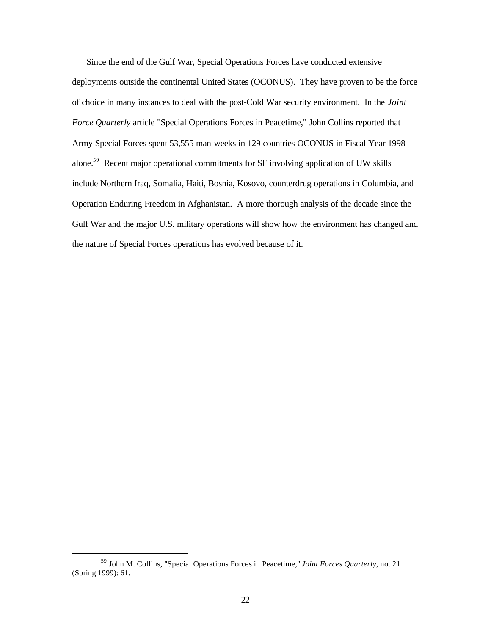Since the end of the Gulf War, Special Operations Forces have conducted extensive deployments outside the continental United States (OCONUS). They have proven to be the force of choice in many instances to deal with the post-Cold War security environment. In the *Joint Force Quarterly* article "Special Operations Forces in Peacetime," John Collins reported that Army Special Forces spent 53,555 man-weeks in 129 countries OCONUS in Fiscal Year 1998 alone.<sup>59</sup> Recent major operational commitments for SF involving application of UW skills include Northern Iraq, Somalia, Haiti, Bosnia, Kosovo, counterdrug operations in Columbia, and Operation Enduring Freedom in Afghanistan. A more thorough analysis of the decade since the Gulf War and the major U.S. military operations will show how the environment has changed and the nature of Special Forces operations has evolved because of it.

<sup>59</sup> John M. Collins, "Special Operations Forces in Peacetime," *Joint Forces Quarterly*, no. 21 (Spring 1999): 61.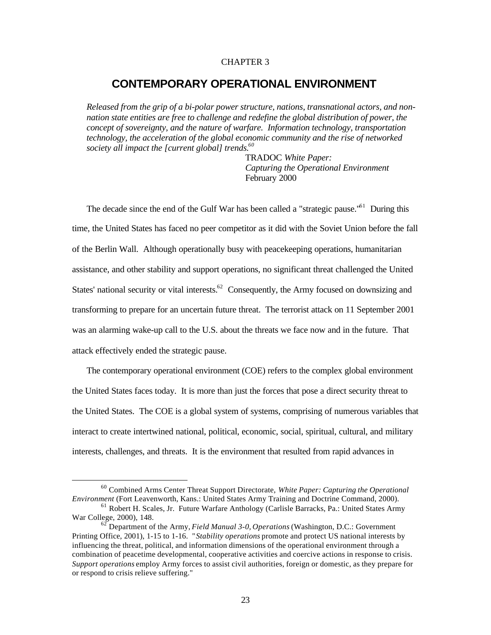## CHAPTER 3

## **CONTEMPORARY OPERATIONAL ENVIRONMENT**

*Released from the grip of a bi-polar power structure, nations, transnational actors, and nonnation state entities are free to challenge and redefine the global distribution of power, the concept of sovereignty, and the nature of warfare. Information technology, transportation technology, the acceleration of the global economic community and the rise of networked society all impact the [current global] trends.60* 

> TRADOC *White Paper: Capturing the Operational Environment*  February 2000

The decade since the end of the Gulf War has been called a "strategic pause."<sup>61</sup> During this time, the United States has faced no peer competitor as it did with the Soviet Union before the fall of the Berlin Wall. Although operationally busy with peacekeeping operations, humanitarian assistance, and other stability and support operations, no significant threat challenged the United States' national security or vital interests.<sup>62</sup> Consequently, the Army focused on downsizing and transforming to prepare for an uncertain future threat. The terrorist attack on 11 September 2001 was an alarming wake-up call to the U.S. about the threats we face now and in the future. That attack effectively ended the strategic pause.

The contemporary operational environment (COE) refers to the complex global environment the United States faces today. It is more than just the forces that pose a direct security threat to the United States. The COE is a global system of systems, comprising of numerous variables that interact to create intertwined national, political, economic, social, spiritual, cultural, and military interests, challenges, and threats. It is the environment that resulted from rapid advances in

<sup>60</sup> Combined Arms Center Threat Support Directorate, *White Paper: Capturing the Operational Environment* (Fort Leavenworth, Kans.: United States Army Training and Doctrine Command, 2000).

<sup>61</sup> Robert H. Scales, Jr. Future Warfare Anthology (Carlisle Barracks, Pa.: United States Army War College, 2000), 148.

<sup>62</sup> Department of the Army, *Field Manual 3-0, Operations* (Washington, D.C.: Government Printing Office, 2001), 1-15 to 1-16. " *Stability operations* promote and protect US national interests by influencing the threat, political, and information dimensions of the operational environment through a combination of peacetime developmental, cooperative activities and coercive actions in response to crisis. *Support operations* employ Army forces to assist civil authorities, foreign or domestic, as they prepare for or respond to crisis relieve suffering."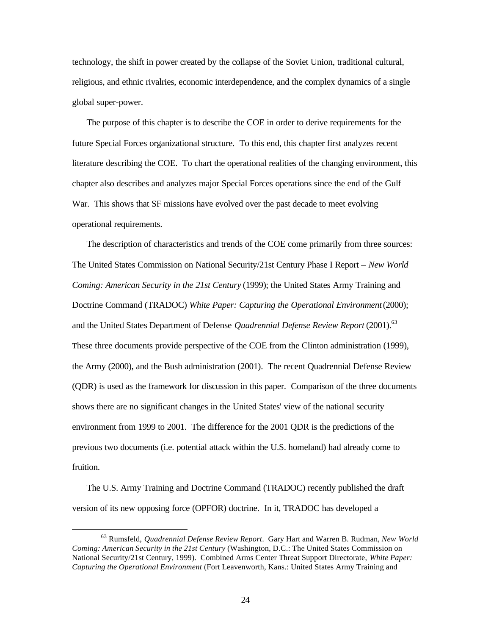technology, the shift in power created by the collapse of the Soviet Union, traditional cultural, religious, and ethnic rivalries, economic interdependence, and the complex dynamics of a single global super-power.

The purpose of this chapter is to describe the COE in order to derive requirements for the future Special Forces organizational structure. To this end, this chapter first analyzes recent literature describing the COE. To chart the operational realities of the changing environment, this chapter also describes and analyzes major Special Forces operations since the end of the Gulf War. This shows that SF missions have evolved over the past decade to meet evolving operational requirements.

The description of characteristics and trends of the COE come primarily from three sources: The United States Commission on National Security/21st Century Phase I Report – *New World Coming: American Security in the 21st Century* (1999); the United States Army Training and Doctrine Command (TRADOC) *White Paper: Capturing the Operational Environment* (2000); and the United States Department of Defense *Quadrennial Defense Review Report* (2001).<sup>63</sup> These three documents provide perspective of the COE from the Clinton administration (1999), the Army (2000), and the Bush administration (2001). The recent Quadrennial Defense Review (QDR) is used as the framework for discussion in this paper. Comparison of the three documents shows there are no significant changes in the United States' view of the national security environment from 1999 to 2001. The difference for the 2001 QDR is the predictions of the previous two documents (i.e. potential attack within the U.S. homeland) had already come to fruition.

The U.S. Army Training and Doctrine Command (TRADOC) recently published the draft version of its new opposing force (OPFOR) doctrine. In it, TRADOC has developed a

<sup>63</sup> Rumsfeld, *Quadrennial Defense Review Report*. Gary Hart and Warren B. Rudman, *New World Coming: American Security in the 21st Century* (Washington, D.C.: The United States Commission on National Security/21st Century, 1999). Combined Arms Center Threat Support Directorate, *White Paper: Capturing the Operational Environment* (Fort Leavenworth, Kans.: United States Army Training and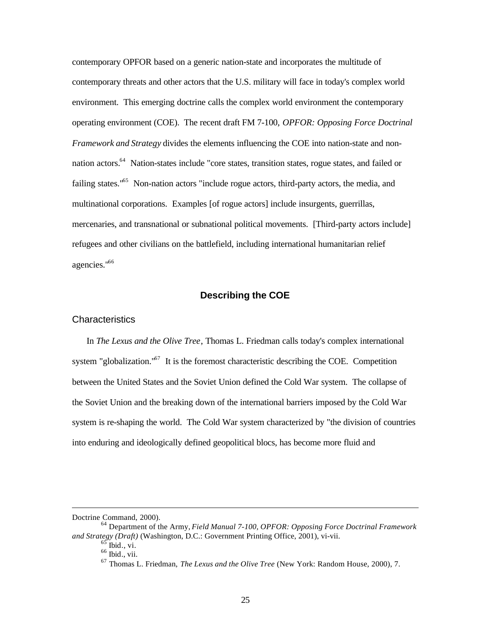contemporary OPFOR based on a generic nation-state and incorporates the multitude of contemporary threats and other actors that the U.S. military will face in today's complex world environment. This emerging doctrine calls the complex world environment the contemporary operating environment (COE). The recent draft FM 7-100, *OPFOR: Opposing Force Doctrinal Framework and Strategy* divides the elements influencing the COE into nation-state and nonnation actors.<sup>64</sup> Nation-states include "core states, transition states, rogue states, and failed or failing states."<sup>65</sup> Non-nation actors "include rogue actors, third-party actors, the media, and multinational corporations. Examples [of rogue actors] include insurgents, guerrillas, mercenaries, and transnational or subnational political movements. [Third-party actors include] refugees and other civilians on the battlefield, including international humanitarian relief agencies."66

## **Describing the COE**

### **Characteristics**

In *The Lexus and the Olive Tree*, Thomas L. Friedman calls today's complex international system "globalization." $67$  It is the foremost characteristic describing the COE. Competition between the United States and the Soviet Union defined the Cold War system. The collapse of the Soviet Union and the breaking down of the international barriers imposed by the Cold War system is re-shaping the world. The Cold War system characterized by "the division of countries into enduring and ideologically defined geopolitical blocs, has become more fluid and

Doctrine Command, 2000).

<sup>64</sup> Department of the Army, *Field Manual 7-100, OPFOR: Opposing Force Doctrinal Framework and Strategy (Draft)* (Washington, D.C.: Government Printing Office, 2001), vi-vii.

 $^{65}$  Ibid., vi.

<sup>66</sup> Ibid., vii.

<sup>67</sup> Thomas L. Friedman, *The Lexus and the Olive Tree* (New York: Random House, 2000), 7.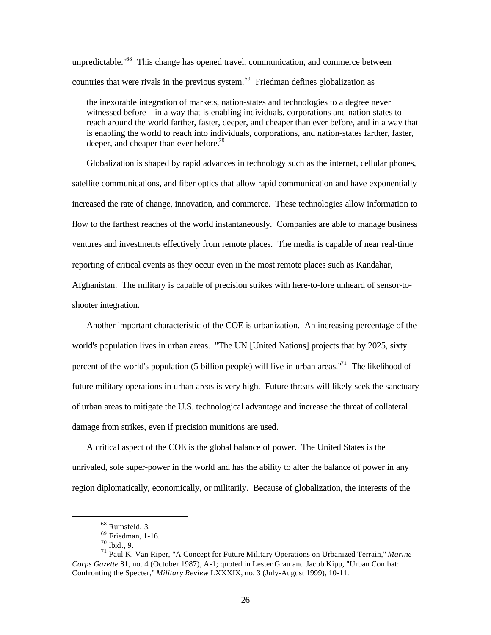unpredictable."<sup>68</sup> This change has opened travel, communication, and commerce between countries that were rivals in the previous system.<sup>69</sup> Friedman defines globalization as

the inexorable integration of markets, nation-states and technologies to a degree never witnessed before—in a way that is enabling individuals, corporations and nation-states to reach around the world farther, faster, deeper, and cheaper than ever before, and in a way that is enabling the world to reach into individuals, corporations, and nation-states farther, faster, deeper, and cheaper than ever before.<sup>70</sup>

Globalization is shaped by rapid advances in technology such as the internet, cellular phones, satellite communications, and fiber optics that allow rapid communication and have exponentially increased the rate of change, innovation, and commerce. These technologies allow information to flow to the farthest reaches of the world instantaneously. Companies are able to manage business ventures and investments effectively from remote places. The media is capable of near real-time reporting of critical events as they occur even in the most remote places such as Kandahar, Afghanistan. The military is capable of precision strikes with here-to-fore unheard of sensor-to-

shooter integration.

Another important characteristic of the COE is urbanization. An increasing percentage of the world's population lives in urban areas. "The UN [United Nations] projects that by 2025, sixty percent of the world's population (5 billion people) will live in urban areas.<sup>"<sup>1</sup> The likelihood of</sup> future military operations in urban areas is very high. Future threats will likely seek the sanctuary of urban areas to mitigate the U.S. technological advantage and increase the threat of collateral damage from strikes, even if precision munitions are used.

A critical aspect of the COE is the global balance of power. The United States is the unrivaled, sole super-power in the world and has the ability to alter the balance of power in any region diplomatically, economically, or militarily. Because of globalization, the interests of the

<sup>68</sup> Rumsfeld, 3.

 $69$  Friedman, 1-16.

<sup>70</sup> Ibid., 9.

<sup>71</sup> Paul K. Van Riper, "A Concept for Future Military Operations on Urbanized Terrain," *Marine Corps Gazette* 81, no. 4 (October 1987), A-1; quoted in Lester Grau and Jacob Kipp, "Urban Combat: Confronting the Specter," *Military Review* LXXXIX, no. 3 (July-August 1999), 10-11.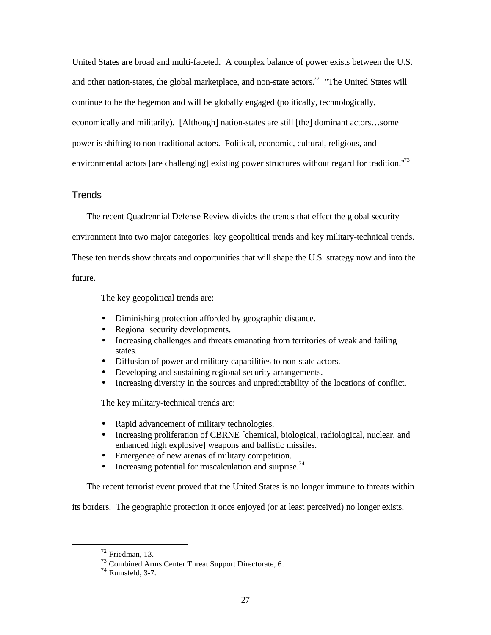United States are broad and multi-faceted. A complex balance of power exists between the U.S. and other nation-states, the global marketplace, and non-state actors.<sup>72</sup> "The United States will continue to be the hegemon and will be globally engaged (politically, technologically, economically and militarily). [Although] nation-states are still [the] dominant actors…some power is shifting to non-traditional actors. Political, economic, cultural, religious, and environmental actors [are challenging] existing power structures without regard for tradition."<sup>73</sup>

## **Trends**

The recent Quadrennial Defense Review divides the trends that effect the global security

environment into two major categories: key geopolitical trends and key military-technical trends.

These ten trends show threats and opportunities that will shape the U.S. strategy now and into the

future.

The key geopolitical trends are:

- Diminishing protection afforded by geographic distance.
- Regional security developments.
- Increasing challenges and threats emanating from territories of weak and failing states.
- Diffusion of power and military capabilities to non-state actors.
- Developing and sustaining regional security arrangements.
- Increasing diversity in the sources and unpredictability of the locations of conflict.

The key military-technical trends are:

- Rapid advancement of military technologies.
- Increasing proliferation of CBRNE [chemical, biological, radiological, nuclear, and enhanced high explosive] weapons and ballistic missiles.
- Emergence of new arenas of military competition.
- Increasing potential for miscalculation and surprise.<sup>74</sup>

The recent terrorist event proved that the United States is no longer immune to threats within

its borders. The geographic protection it once enjoyed (or at least perceived) no longer exists.

<sup>72</sup> Friedman, 13.

<sup>73</sup> Combined Arms Center Threat Support Directorate, 6.

<sup>74</sup> Rumsfeld, 3-7.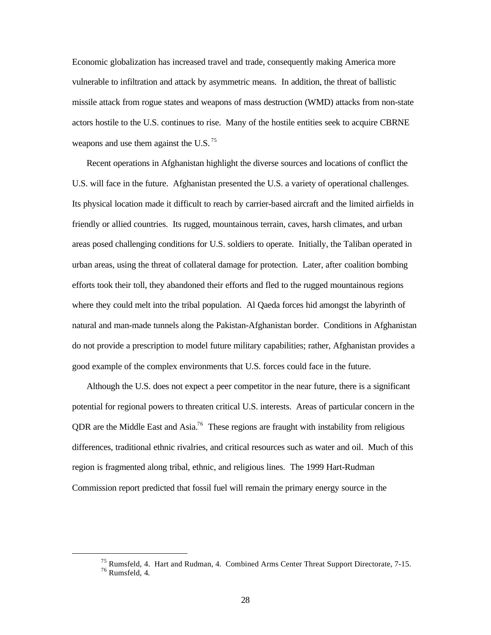Economic globalization has increased travel and trade, consequently making America more vulnerable to infiltration and attack by asymmetric means. In addition, the threat of ballistic missile attack from rogue states and weapons of mass destruction (WMD) attacks from non-state actors hostile to the U.S. continues to rise. Many of the hostile entities seek to acquire CBRNE weapons and use them against the U.S.  $^{75}$ 

Recent operations in Afghanistan highlight the diverse sources and locations of conflict the U.S. will face in the future. Afghanistan presented the U.S. a variety of operational challenges. Its physical location made it difficult to reach by carrier-based aircraft and the limited airfields in friendly or allied countries. Its rugged, mountainous terrain, caves, harsh climates, and urban areas posed challenging conditions for U.S. soldiers to operate. Initially, the Taliban operated in urban areas, using the threat of collateral damage for protection. Later, after coalition bombing efforts took their toll, they abandoned their efforts and fled to the rugged mountainous regions where they could melt into the tribal population. Al Qaeda forces hid amongst the labyrinth of natural and man-made tunnels along the Pakistan-Afghanistan border. Conditions in Afghanistan do not provide a prescription to model future military capabilities; rather, Afghanistan provides a good example of the complex environments that U.S. forces could face in the future.

Although the U.S. does not expect a peer competitor in the near future, there is a significant potential for regional powers to threaten critical U.S. interests. Areas of particular concern in the QDR are the Middle East and Asia.<sup>76</sup> These regions are fraught with instability from religious differences, traditional ethnic rivalries, and critical resources such as water and oil. Much of this region is fragmented along tribal, ethnic, and religious lines. The 1999 Hart-Rudman Commission report predicted that fossil fuel will remain the primary energy source in the

<sup>75</sup> Rumsfeld, 4. Hart and Rudman, 4. Combined Arms Center Threat Support Directorate, 7-15.  $76$  Rumsfeld, 4.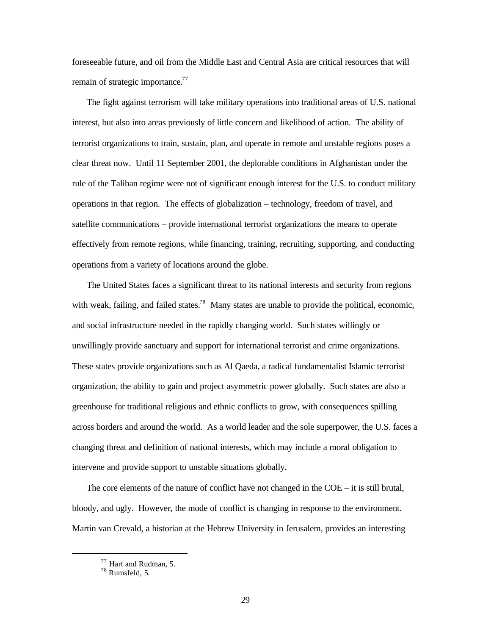foreseeable future, and oil from the Middle East and Central Asia are critical resources that will remain of strategic importance.<sup>77</sup>

The fight against terrorism will take military operations into traditional areas of U.S. national interest, but also into areas previously of little concern and likelihood of action. The ability of terrorist organizations to train, sustain, plan, and operate in remote and unstable regions poses a clear threat now. Until 11 September 2001, the deplorable conditions in Afghanistan under the rule of the Taliban regime were not of significant enough interest for the U.S. to conduct military operations in that region. The effects of globalization – technology, freedom of travel, and satellite communications – provide international terrorist organizations the means to operate effectively from remote regions, while financing, training, recruiting, supporting, and conducting operations from a variety of locations around the globe.

The United States faces a significant threat to its national interests and security from regions with weak, failing, and failed states.<sup>78</sup> Many states are unable to provide the political, economic, and social infrastructure needed in the rapidly changing world. Such states willingly or unwillingly provide sanctuary and support for international terrorist and crime organizations. These states provide organizations such as Al Qaeda, a radical fundamentalist Islamic terrorist organization, the ability to gain and project asymmetric power globally. Such states are also a greenhouse for traditional religious and ethnic conflicts to grow, with consequences spilling across borders and around the world. As a world leader and the sole superpower, the U.S. faces a changing threat and definition of national interests, which may include a moral obligation to intervene and provide support to unstable situations globally.

The core elements of the nature of conflict have not changed in the COE – it is still brutal, bloody, and ugly. However, the mode of conflict is changing in response to the environment. Martin van Crevald, a historian at the Hebrew University in Jerusalem, provides an interesting

<sup>77</sup> Hart and Rudman, 5.

<sup>78</sup> Rumsfeld, 5.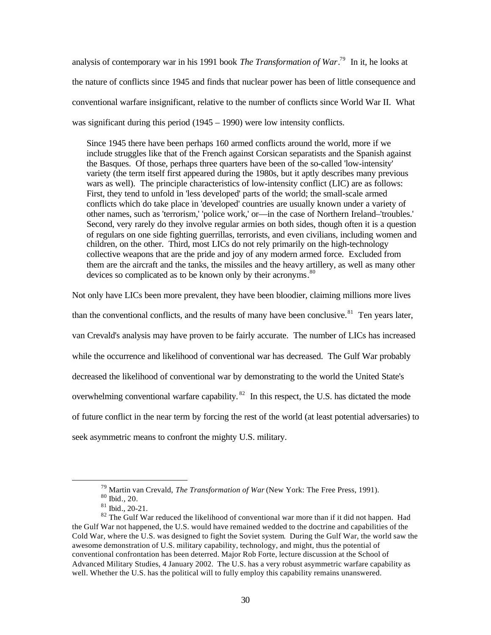analysis of contemporary war in his 1991 book *The Transformation of War*. 79 In it, he looks at the nature of conflicts since 1945 and finds that nuclear power has been of little consequence and conventional warfare insignificant, relative to the number of conflicts since World War II. What was significant during this period (1945 – 1990) were low intensity conflicts.

Since 1945 there have been perhaps 160 armed conflicts around the world, more if we include struggles like that of the French against Corsican separatists and the Spanish against the Basques. Of those, perhaps three quarters have been of the so-called 'low-intensity' variety (the term itself first appeared during the 1980s, but it aptly describes many previous wars as well). The principle characteristics of low-intensity conflict (LIC) are as follows: First, they tend to unfold in 'less developed' parts of the world; the small-scale armed conflicts which do take place in 'developed' countries are usually known under a variety of other names, such as 'terrorism,' 'police work,' or—in the case of Northern Ireland–'troubles.' Second, very rarely do they involve regular armies on both sides, though often it is a question of regulars on one side fighting guerrillas, terrorists, and even civilians, including women and children, on the other. Third, most LICs do not rely primarily on the high-technology collective weapons that are the pride and joy of any modern armed force. Excluded from them are the aircraft and the tanks, the missiles and the heavy artillery, as well as many other devices so complicated as to be known only by their acronyms.<sup>80</sup>

Not only have LICs been more prevalent, they have been bloodier, claiming millions more lives than the conventional conflicts, and the results of many have been conclusive.<sup>81</sup> Ten years later, van Crevald's analysis may have proven to be fairly accurate. The number of LICs has increased while the occurrence and likelihood of conventional war has decreased. The Gulf War probably decreased the likelihood of conventional war by demonstrating to the world the United State's overwhelming conventional warfare capability.<sup>82</sup> In this respect, the U.S. has dictated the mode of future conflict in the near term by forcing the rest of the world (at least potential adversaries) to seek asymmetric means to confront the mighty U.S. military.

<sup>79</sup> Martin van Crevald, *The Transformation of War* (New York: The Free Press, 1991).

 $\rm{^{80}}$  Ibid., 20.

<sup>81</sup> Ibid., 20-21.

<sup>&</sup>lt;sup>82</sup> The Gulf War reduced the likelihood of conventional war more than if it did not happen. Had the Gulf War not happened, the U.S. would have remained wedded to the doctrine and capabilities of the Cold War, where the U.S. was designed to fight the Soviet system. During the Gulf War, the world saw the awesome demonstration of U.S. military capability, technology, and might, thus the potential of conventional confrontation has been deterred. Major Rob Forte, lecture discussion at the School of Advanced Military Studies, 4 January 2002. The U.S. has a very robust asymmetric warfare capability as well. Whether the U.S. has the political will to fully employ this capability remains unanswered.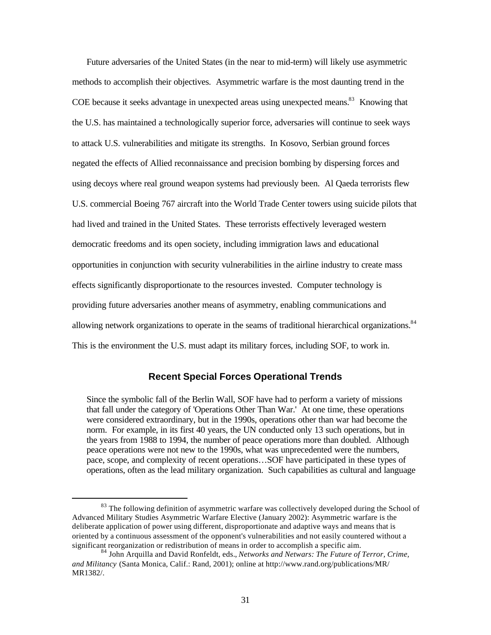Future adversaries of the United States (in the near to mid-term) will likely use asymmetric methods to accomplish their objectives. Asymmetric warfare is the most daunting trend in the COE because it seeks advantage in unexpected areas using unexpected means.<sup>83</sup> Knowing that the U.S. has maintained a technologically superior force, adversaries will continue to seek ways to attack U.S. vulnerabilities and mitigate its strengths. In Kosovo, Serbian ground forces negated the effects of Allied reconnaissance and precision bombing by dispersing forces and using decoys where real ground weapon systems had previously been. Al Qaeda terrorists flew U.S. commercial Boeing 767 aircraft into the World Trade Center towers using suicide pilots that had lived and trained in the United States. These terrorists effectively leveraged western democratic freedoms and its open society, including immigration laws and educational opportunities in conjunction with security vulnerabilities in the airline industry to create mass effects significantly disproportionate to the resources invested. Computer technology is providing future adversaries another means of asymmetry, enabling communications and allowing network organizations to operate in the seams of traditional hierarchical organizations.<sup>84</sup> This is the environment the U.S. must adapt its military forces, including SOF, to work in.

#### **Recent Special Forces Operational Trends**

Since the symbolic fall of the Berlin Wall, SOF have had to perform a variety of missions that fall under the category of 'Operations Other Than War.' At one time, these operations were considered extraordinary, but in the 1990s, operations other than war had become the norm. For example, in its first 40 years, the UN conducted only 13 such operations, but in the years from 1988 to 1994, the number of peace operations more than doubled. Although peace operations were not new to the 1990s, what was unprecedented were the numbers, pace, scope, and complexity of recent operations…SOF have participated in these types of operations, often as the lead military organization. Such capabilities as cultural and language

<sup>&</sup>lt;sup>83</sup> The following definition of asymmetric warfare was collectively developed during the School of Advanced Military Studies Asymmetric Warfare Elective (January 2002): Asymmetric warfare is the deliberate application of power using different, disproportionate and adaptive ways and means that is oriented by a continuous assessment of the opponent's vulnerabilities and not easily countered without a significant reorganization or redistribution of means in order to accomplish a specific aim.

<sup>84</sup> John Arquilla and David Ronfeldt, eds., *Networks and Netwars: The Future of Terror, Crime, and Militancy* (Santa Monica, Calif.: Rand, 2001); online at http://www.rand.org/publications/MR/ MR1382/.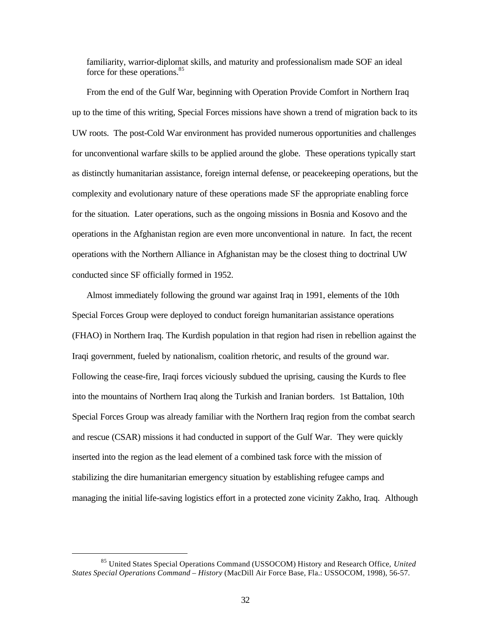familiarity, warrior-diplomat skills, and maturity and professionalism made SOF an ideal force for these operations.<sup>85</sup>

From the end of the Gulf War, beginning with Operation Provide Comfort in Northern Iraq up to the time of this writing, Special Forces missions have shown a trend of migration back to its UW roots. The post-Cold War environment has provided numerous opportunities and challenges for unconventional warfare skills to be applied around the globe. These operations typically start as distinctly humanitarian assistance, foreign internal defense, or peacekeeping operations, but the complexity and evolutionary nature of these operations made SF the appropriate enabling force for the situation. Later operations, such as the ongoing missions in Bosnia and Kosovo and the operations in the Afghanistan region are even more unconventional in nature. In fact, the recent operations with the Northern Alliance in Afghanistan may be the closest thing to doctrinal UW conducted since SF officially formed in 1952.

Almost immediately following the ground war against Iraq in 1991, elements of the 10th Special Forces Group were deployed to conduct foreign humanitarian assistance operations (FHAO) in Northern Iraq. The Kurdish population in that region had risen in rebellion against the Iraqi government, fueled by nationalism, coalition rhetoric, and results of the ground war. Following the cease-fire, Iraqi forces viciously subdued the uprising, causing the Kurds to flee into the mountains of Northern Iraq along the Turkish and Iranian borders. 1st Battalion, 10th Special Forces Group was already familiar with the Northern Iraq region from the combat search and rescue (CSAR) missions it had conducted in support of the Gulf War. They were quickly inserted into the region as the lead element of a combined task force with the mission of stabilizing the dire humanitarian emergency situation by establishing refugee camps and managing the initial life-saving logistics effort in a protected zone vicinity Zakho, Iraq. Although

<sup>85</sup> United States Special Operations Command (USSOCOM) History and Research Office, *United States Special Operations Command – History* (MacDill Air Force Base, Fla.: USSOCOM, 1998), 56-57.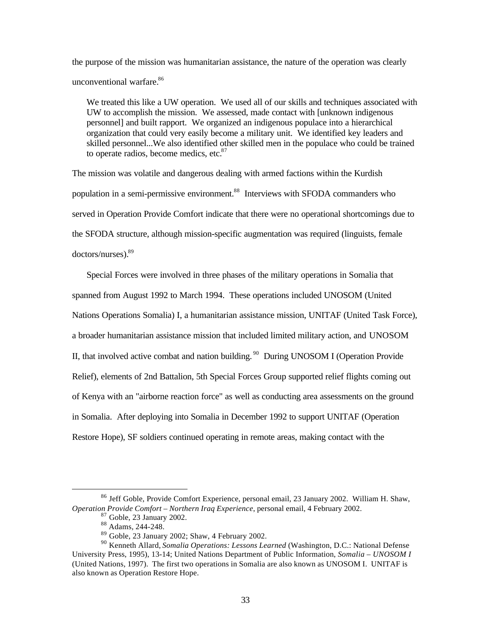the purpose of the mission was humanitarian assistance, the nature of the operation was clearly unconventional warfare. $86$ 

We treated this like a UW operation. We used all of our skills and techniques associated with UW to accomplish the mission. We assessed, made contact with [unknown indigenous personnel] and built rapport. We organized an indigenous populace into a hierarchical organization that could very easily become a military unit. We identified key leaders and skilled personnel...We also identified other skilled men in the populace who could be trained to operate radios, become medics, etc.<sup>87</sup>

The mission was volatile and dangerous dealing with armed factions within the Kurdish population in a semi-permissive environment.<sup>88</sup> Interviews with SFODA commanders who served in Operation Provide Comfort indicate that there were no operational shortcomings due to the SFODA structure, although mission-specific augmentation was required (linguists, female doctors/nurses).89

Special Forces were involved in three phases of the military operations in Somalia that spanned from August 1992 to March 1994. These operations included UNOSOM (United Nations Operations Somalia) I, a humanitarian assistance mission, UNITAF (United Task Force), a broader humanitarian assistance mission that included limited military action, and UNOSOM II, that involved active combat and nation building.<sup>90</sup> During UNOSOM I (Operation Provide Relief), elements of 2nd Battalion, 5th Special Forces Group supported relief flights coming out of Kenya with an "airborne reaction force" as well as conducting area assessments on the ground in Somalia. After deploying into Somalia in December 1992 to support UNITAF (Operation Restore Hope), SF soldiers continued operating in remote areas, making contact with the

<sup>86</sup> Jeff Goble, Provide Comfort Experience, personal email, 23 January 2002. William H. Shaw, *Operation Provide Comfort – Northern Iraq Experience*, personal email, 4 February 2002.

 $<sup>7</sup>$  Goble, 23 January 2002.</sup>

<sup>88</sup> Adams, 244-248.

<sup>89</sup> Goble, 23 January 2002; Shaw, 4 February 2002.

<sup>90</sup> Kenneth Allard, *Somalia Operations: Lessons Learned* (Washington, D.C.: National Defense University Press, 1995), 13-14; United Nations Department of Public Information, *Somalia – UNOSOM I*  (United Nations, 1997). The first two operations in Somalia are also known as UNOSOM I. UNITAF is also known as Operation Restore Hope.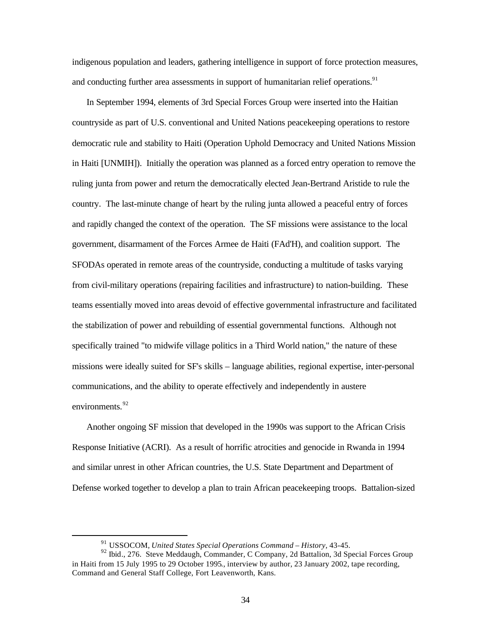indigenous population and leaders, gathering intelligence in support of force protection measures, and conducting further area assessments in support of humanitarian relief operations.<sup>91</sup>

In September 1994, elements of 3rd Special Forces Group were inserted into the Haitian countryside as part of U.S. conventional and United Nations peacekeeping operations to restore democratic rule and stability to Haiti (Operation Uphold Democracy and United Nations Mission in Haiti [UNMIH]). Initially the operation was planned as a forced entry operation to remove the ruling junta from power and return the democratically elected Jean-Bertrand Aristide to rule the country. The last-minute change of heart by the ruling junta allowed a peaceful entry of forces and rapidly changed the context of the operation. The SF missions were assistance to the local government, disarmament of the Forces Armee de Haiti (FAd'H), and coalition support. The SFODAs operated in remote areas of the countryside, conducting a multitude of tasks varying from civil-military operations (repairing facilities and infrastructure) to nation-building. These teams essentially moved into areas devoid of effective governmental infrastructure and facilitated the stabilization of power and rebuilding of essential governmental functions. Although not specifically trained "to midwife village politics in a Third World nation," the nature of these missions were ideally suited for SF's skills – language abilities, regional expertise, inter-personal communications, and the ability to operate effectively and independently in austere environments.<sup>92</sup>

Another ongoing SF mission that developed in the 1990s was support to the African Crisis Response Initiative (ACRI). As a result of horrific atrocities and genocide in Rwanda in 1994 and similar unrest in other African countries, the U.S. State Department and Department of Defense worked together to develop a plan to train African peacekeeping troops. Battalion-sized

<sup>91</sup> USSOCOM, *United States Special Operations Command – History,* 43-45.

<sup>&</sup>lt;sup>92</sup> Ibid., 276. Steve Meddaugh, Commander, C Company, 2d Battalion, 3d Special Forces Group in Haiti from 15 July 1995 to 29 October 1995., interview by author, 23 January 2002, tape recording, Command and General Staff College, Fort Leavenworth, Kans.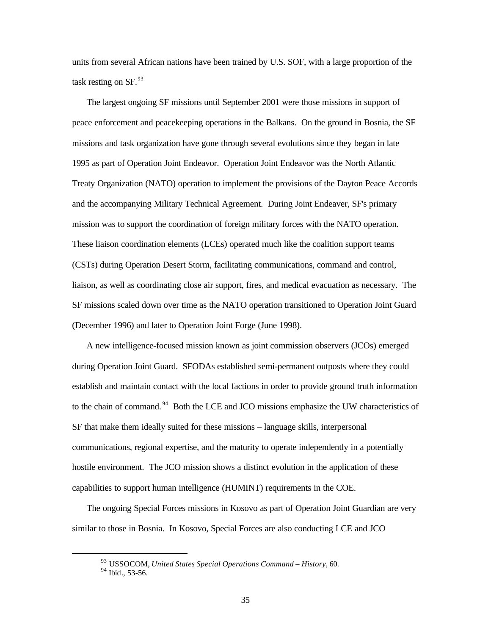units from several African nations have been trained by U.S. SOF, with a large proportion of the task resting on  $SF<sup>93</sup>$ 

The largest ongoing SF missions until September 2001 were those missions in support of peace enforcement and peacekeeping operations in the Balkans. On the ground in Bosnia, the SF missions and task organization have gone through several evolutions since they began in late 1995 as part of Operation Joint Endeavor. Operation Joint Endeavor was the North Atlantic Treaty Organization (NATO) operation to implement the provisions of the Dayton Peace Accords and the accompanying Military Technical Agreement. During Joint Endeaver, SF's primary mission was to support the coordination of foreign military forces with the NATO operation. These liaison coordination elements (LCEs) operated much like the coalition support teams (CSTs) during Operation Desert Storm, facilitating communications, command and control, liaison, as well as coordinating close air support, fires, and medical evacuation as necessary. The SF missions scaled down over time as the NATO operation transitioned to Operation Joint Guard (December 1996) and later to Operation Joint Forge (June 1998).

A new intelligence-focused mission known as joint commission observers (JCOs) emerged during Operation Joint Guard. SFODAs established semi-permanent outposts where they could establish and maintain contact with the local factions in order to provide ground truth information to the chain of command.<sup>94</sup> Both the LCE and JCO missions emphasize the UW characteristics of SF that make them ideally suited for these missions – language skills, interpersonal communications, regional expertise, and the maturity to operate independently in a potentially hostile environment. The JCO mission shows a distinct evolution in the application of these capabilities to support human intelligence (HUMINT) requirements in the COE.

The ongoing Special Forces missions in Kosovo as part of Operation Joint Guardian are very similar to those in Bosnia. In Kosovo, Special Forces are also conducting LCE and JCO

<sup>93</sup> USSOCOM, *United States Special Operations Command – History*, 60.

<sup>94</sup> Ibid.*,* 53-56.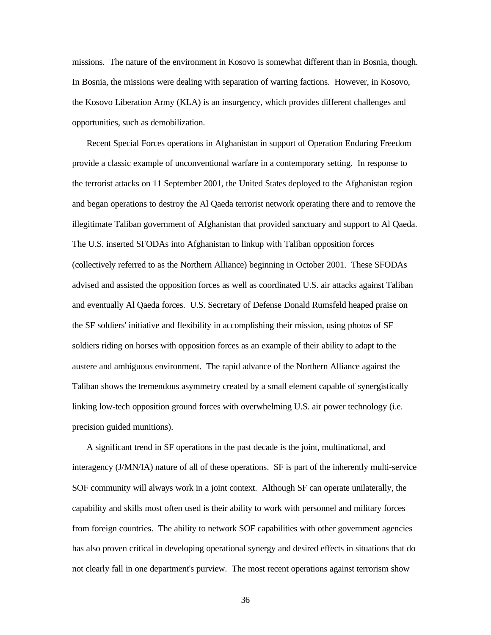missions. The nature of the environment in Kosovo is somewhat different than in Bosnia, though. In Bosnia, the missions were dealing with separation of warring factions. However, in Kosovo, the Kosovo Liberation Army (KLA) is an insurgency, which provides different challenges and opportunities, such as demobilization.

Recent Special Forces operations in Afghanistan in support of Operation Enduring Freedom provide a classic example of unconventional warfare in a contemporary setting. In response to the terrorist attacks on 11 September 2001, the United States deployed to the Afghanistan region and began operations to destroy the Al Qaeda terrorist network operating there and to remove the illegitimate Taliban government of Afghanistan that provided sanctuary and support to Al Qaeda. The U.S. inserted SFODAs into Afghanistan to linkup with Taliban opposition forces (collectively referred to as the Northern Alliance) beginning in October 2001. These SFODAs advised and assisted the opposition forces as well as coordinated U.S. air attacks against Taliban and eventually Al Qaeda forces. U.S. Secretary of Defense Donald Rumsfeld heaped praise on the SF soldiers' initiative and flexibility in accomplishing their mission, using photos of SF soldiers riding on horses with opposition forces as an example of their ability to adapt to the austere and ambiguous environment. The rapid advance of the Northern Alliance against the Taliban shows the tremendous asymmetry created by a small element capable of synergistically linking low-tech opposition ground forces with overwhelming U.S. air power technology (i.e. precision guided munitions).

A significant trend in SF operations in the past decade is the joint, multinational, and interagency (J/MN/IA) nature of all of these operations. SF is part of the inherently multi-service SOF community will always work in a joint context. Although SF can operate unilaterally, the capability and skills most often used is their ability to work with personnel and military forces from foreign countries. The ability to network SOF capabilities with other government agencies has also proven critical in developing operational synergy and desired effects in situations that do not clearly fall in one department's purview. The most recent operations against terrorism show

36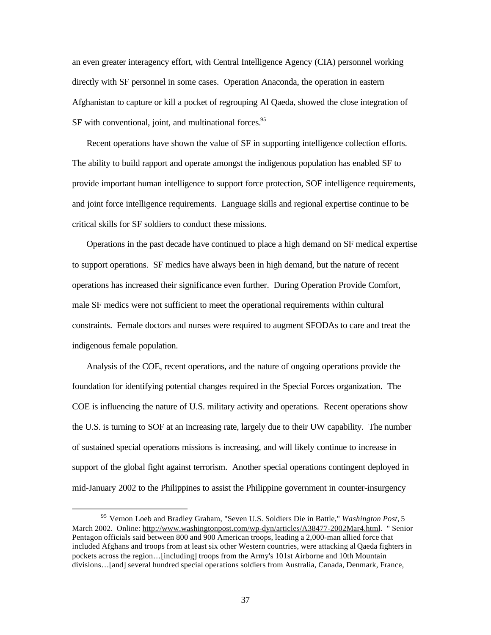an even greater interagency effort, with Central Intelligence Agency (CIA) personnel working directly with SF personnel in some cases. Operation Anaconda, the operation in eastern Afghanistan to capture or kill a pocket of regrouping Al Qaeda, showed the close integration of  $SF$  with conventional, joint, and multinational forces.<sup>95</sup>

Recent operations have shown the value of SF in supporting intelligence collection efforts. The ability to build rapport and operate amongst the indigenous population has enabled SF to provide important human intelligence to support force protection, SOF intelligence requirements, and joint force intelligence requirements. Language skills and regional expertise continue to be critical skills for SF soldiers to conduct these missions.

Operations in the past decade have continued to place a high demand on SF medical expertise to support operations. SF medics have always been in high demand, but the nature of recent operations has increased their significance even further. During Operation Provide Comfort, male SF medics were not sufficient to meet the operational requirements within cultural constraints. Female doctors and nurses were required to augment SFODAs to care and treat the indigenous female population.

Analysis of the COE, recent operations, and the nature of ongoing operations provide the foundation for identifying potential changes required in the Special Forces organization. The COE is influencing the nature of U.S. military activity and operations. Recent operations show the U.S. is turning to SOF at an increasing rate, largely due to their UW capability. The number of sustained special operations missions is increasing, and will likely continue to increase in support of the global fight against terrorism. Another special operations contingent deployed in mid-January 2002 to the Philippines to assist the Philippine government in counter-insurgency

<sup>95</sup> Vernon Loeb and Bradley Graham, "Seven U.S. Soldiers Die in Battle," *Washington Post*, 5 March 2002. Online: http://www.washingtonpost.com/wp-dyn/articles/A38477-2002Mar4.html. " Senior Pentagon officials said between 800 and 900 American troops, leading a 2,000-man allied force that included Afghans and troops from at least six other Western countries, were attacking al Qaeda fighters in pockets across the region…[including] troops from the Army's 101st Airborne and 10th Mountain divisions…[and] several hundred special operations soldiers from Australia, Canada, Denmark, France,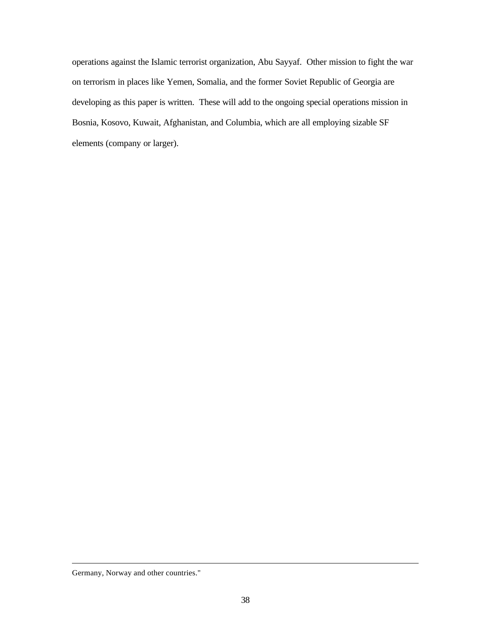operations against the Islamic terrorist organization, Abu Sayyaf. Other mission to fight the war on terrorism in places like Yemen, Somalia, and the former Soviet Republic of Georgia are developing as this paper is written. These will add to the ongoing special operations mission in Bosnia, Kosovo, Kuwait, Afghanistan, and Columbia, which are all employing sizable SF elements (company or larger).

Germany, Norway and other countries."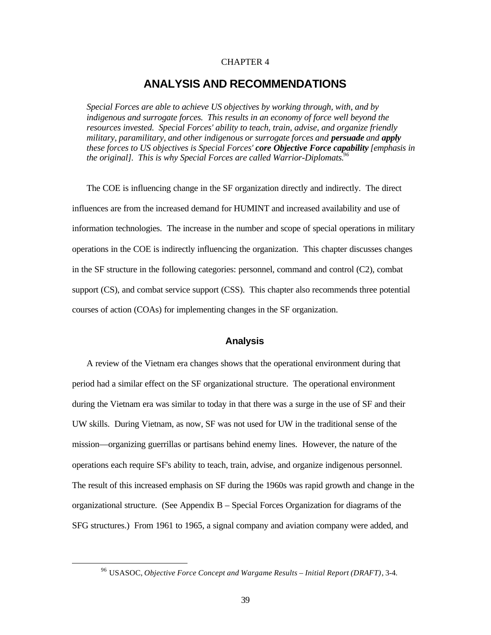#### CHAPTER 4

## **ANALYSIS AND RECOMMENDATIONS**

*Special Forces are able to achieve US objectives by working through, with, and by indigenous and surrogate forces. This results in an economy of force well beyond the resources invested. Special Forces' ability to teach, train, advise, and organize friendly military, paramilitary, and other indigenous or surrogate forces and persuade and apply these forces to US objectives is Special Forces' core Objective Force capability [emphasis in the original]. This is why Special Forces are called Warrior-Diplomats.96* 

The COE is influencing change in the SF organization directly and indirectly. The direct influences are from the increased demand for HUMINT and increased availability and use of information technologies. The increase in the number and scope of special operations in military operations in the COE is indirectly influencing the organization. This chapter discusses changes in the SF structure in the following categories: personnel, command and control (C2), combat support (CS), and combat service support (CSS). This chapter also recommends three potential courses of action (COAs) for implementing changes in the SF organization.

#### **Analysis**

A review of the Vietnam era changes shows that the operational environment during that period had a similar effect on the SF organizational structure. The operational environment during the Vietnam era was similar to today in that there was a surge in the use of SF and their UW skills. During Vietnam, as now, SF was not used for UW in the traditional sense of the mission—organizing guerrillas or partisans behind enemy lines. However, the nature of the operations each require SF's ability to teach, train, advise, and organize indigenous personnel. The result of this increased emphasis on SF during the 1960s was rapid growth and change in the organizational structure. (See Appendix B – Special Forces Organization for diagrams of the SFG structures.) From 1961 to 1965, a signal company and aviation company were added, and

<sup>&</sup>lt;sup>96</sup> USASOC, *Objective Force Concept and Wargame Results – Initial Report (DRAFT)*, 3-4.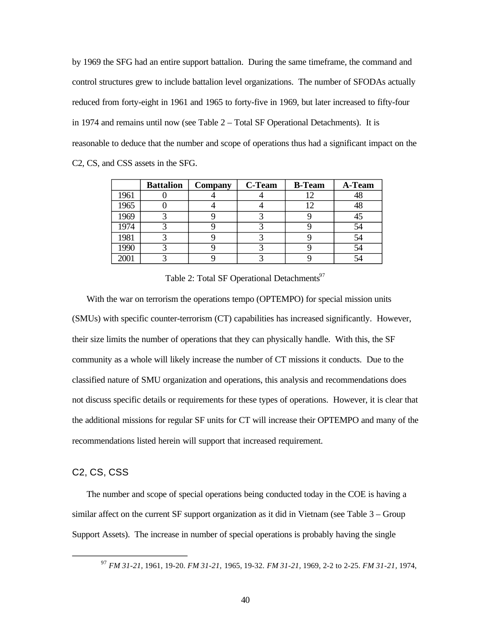by 1969 the SFG had an entire support battalion. During the same timeframe, the command and control structures grew to include battalion level organizations. The number of SFODAs actually reduced from forty-eight in 1961 and 1965 to forty-five in 1969, but later increased to fifty-four in 1974 and remains until now (see Table 2 – Total SF Operational Detachments). It is reasonable to deduce that the number and scope of operations thus had a significant impact on the C2, CS, and CSS assets in the SFG.

|      | <b>Battalion</b> | <b>Company</b> | <b>C-Team</b> | <b>B-Team</b> | A-Team |
|------|------------------|----------------|---------------|---------------|--------|
| 1961 |                  |                |               |               | 48     |
| 1965 |                  |                |               |               | 48     |
| 1969 |                  |                |               |               | 45     |
| 1974 |                  |                |               |               | 54     |
| 1981 |                  |                |               |               | 54     |
| 1990 |                  |                |               |               | 54     |
| 2001 |                  |                |               |               |        |

Table 2: Total SF Operational Detachments<sup>97</sup>

With the war on terrorism the operations tempo (OPTEMPO) for special mission units (SMUs) with specific counter-terrorism (CT) capabilities has increased significantly. However, their size limits the number of operations that they can physically handle. With this, the SF community as a whole will likely increase the number of CT missions it conducts. Due to the classified nature of SMU organization and operations, this analysis and recommendations does not discuss specific details or requirements for these types of operations. However, it is clear that the additional missions for regular SF units for CT will increase their OPTEMPO and many of the recommendations listed herein will support that increased requirement.

#### C2, CS, CSS

The number and scope of special operations being conducted today in the COE is having a similar affect on the current SF support organization as it did in Vietnam (see Table 3 – Group Support Assets). The increase in number of special operations is probably having the single

<sup>97</sup>*FM 31-21,* 1961, 19-20. *FM 31-21,* 1965, 19-32. *FM 31-21,* 1969, 2-2 to 2-25. *FM 31-21,* 1974,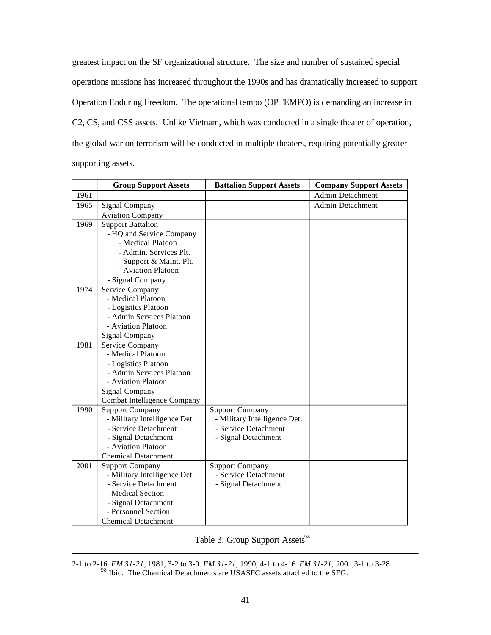greatest impact on the SF organizational structure. The size and number of sustained special operations missions has increased throughout the 1990s and has dramatically increased to support Operation Enduring Freedom. The operational tempo (OPTEMPO) is demanding an increase in C2, CS, and CSS assets. Unlike Vietnam, which was conducted in a single theater of operation, the global war on terrorism will be conducted in multiple theaters, requiring potentially greater supporting assets.

|      | <b>Group Support Assets</b>                            | <b>Battalion Support Assets</b>                        | <b>Company Support Assets</b> |
|------|--------------------------------------------------------|--------------------------------------------------------|-------------------------------|
| 1961 |                                                        |                                                        | <b>Admin Detachment</b>       |
| 1965 | Signal Company                                         |                                                        | Admin Detachment              |
|      | <b>Aviation Company</b>                                |                                                        |                               |
| 1969 | <b>Support Battalion</b>                               |                                                        |                               |
|      | - HQ and Service Company                               |                                                        |                               |
|      | - Medical Platoon                                      |                                                        |                               |
|      | - Admin. Services Plt.                                 |                                                        |                               |
|      | - Support & Maint. Plt.                                |                                                        |                               |
|      | - Aviation Platoon                                     |                                                        |                               |
|      | - Signal Company                                       |                                                        |                               |
| 1974 | Service Company                                        |                                                        |                               |
|      | - Medical Platoon                                      |                                                        |                               |
|      | - Logistics Platoon                                    |                                                        |                               |
|      | - Admin Services Platoon                               |                                                        |                               |
|      | - Aviation Platoon                                     |                                                        |                               |
|      | Signal Company                                         |                                                        |                               |
| 1981 | Service Company                                        |                                                        |                               |
|      | - Medical Platoon                                      |                                                        |                               |
|      | - Logistics Platoon                                    |                                                        |                               |
|      | - Admin Services Platoon                               |                                                        |                               |
|      | - Aviation Platoon                                     |                                                        |                               |
|      | <b>Signal Company</b>                                  |                                                        |                               |
| 1990 | Combat Intelligence Company                            |                                                        |                               |
|      | <b>Support Company</b><br>- Military Intelligence Det. | <b>Support Company</b><br>- Military Intelligence Det. |                               |
|      | - Service Detachment                                   | - Service Detachment                                   |                               |
|      | - Signal Detachment                                    | - Signal Detachment                                    |                               |
|      | - Aviation Platoon                                     |                                                        |                               |
|      | <b>Chemical Detachment</b>                             |                                                        |                               |
| 2001 | <b>Support Company</b>                                 | <b>Support Company</b>                                 |                               |
|      | - Military Intelligence Det.                           | - Service Detachment                                   |                               |
|      | - Service Detachment                                   | - Signal Detachment                                    |                               |
|      | - Medical Section                                      |                                                        |                               |
|      | - Signal Detachment                                    |                                                        |                               |
|      | - Personnel Section                                    |                                                        |                               |
|      | <b>Chemical Detachment</b>                             |                                                        |                               |

|  | Table 3: Group Support Assets <sup>98</sup> |  |  |  |
|--|---------------------------------------------|--|--|--|
|--|---------------------------------------------|--|--|--|

<sup>2-1</sup> to 2-16. *FM 31-21,* 1981, 3-2 to 3-9. *FM 31-21,* 1990, 4-1 to 4-16. *FM 31-21,* 2001,3-1 to 3-28. <sup>98</sup> Ibid. The Chemical Detachments are USASFC assets attached to the SFG.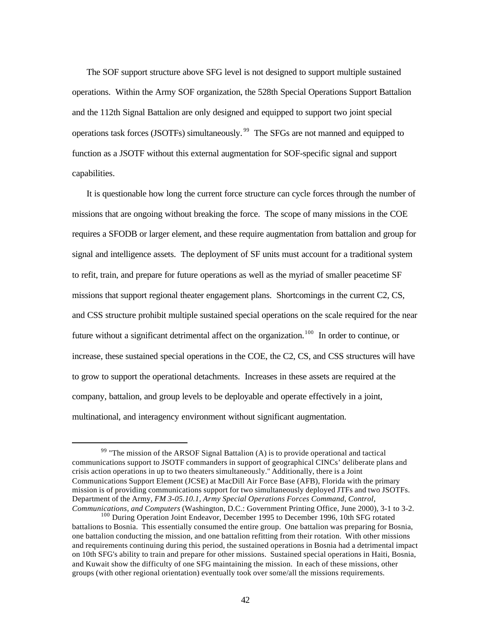The SOF support structure above SFG level is not designed to support multiple sustained operations. Within the Army SOF organization, the 528th Special Operations Support Battalion and the 112th Signal Battalion are only designed and equipped to support two joint special operations task forces (JSOTFs) simultaneously.<sup>99</sup> The SFGs are not manned and equipped to function as a JSOTF without this external augmentation for SOF-specific signal and support capabilities.

It is questionable how long the current force structure can cycle forces through the number of missions that are ongoing without breaking the force. The scope of many missions in the COE requires a SFODB or larger element, and these require augmentation from battalion and group for signal and intelligence assets. The deployment of SF units must account for a traditional system to refit, train, and prepare for future operations as well as the myriad of smaller peacetime SF missions that support regional theater engagement plans. Shortcomings in the current C2, CS, and CSS structure prohibit multiple sustained special operations on the scale required for the near future without a significant detrimental affect on the organization.<sup>100</sup> In order to continue, or increase, these sustained special operations in the COE, the C2, CS, and CSS structures will have to grow to support the operational detachments. Increases in these assets are required at the company, battalion, and group levels to be deployable and operate effectively in a joint, multinational, and interagency environment without significant augmentation.

 $99$  "The mission of the ARSOF Signal Battalion (A) is to provide operational and tactical communications support to JSOTF commanders in support of geographical CINCs' deliberate plans and crisis action operations in up to two theaters simultaneously." Additionally, there is a Joint Communications Support Element (JCSE) at MacDill Air Force Base (AFB), Florida with the primary mission is of providing communications support for two simultaneously deployed JTFs and two JSOTFs. Department of the Army, *FM 3-05.10.1, Army Special Operations Forces Command, Control, Communications, and Computers* (Washington, D.C.: Government Printing Office, June 2000), 3-1 to 3-2.

<sup>&</sup>lt;sup>100</sup> During Operation Joint Endeavor, December 1995 to December 1996, 10th SFG rotated battalions to Bosnia. This essentially consumed the entire group. One battalion was preparing for Bosnia, one battalion conducting the mission, and one battalion refitting from their rotation. With other missions and requirements continuing during this period, the sustained operations in Bosnia had a detrimental impact on 10th SFG's ability to train and prepare for other missions. Sustained special operations in Haiti, Bosnia, and Kuwait show the difficulty of one SFG maintaining the mission. In each of these missions, other groups (with other regional orientation) eventually took over some/all the missions requirements.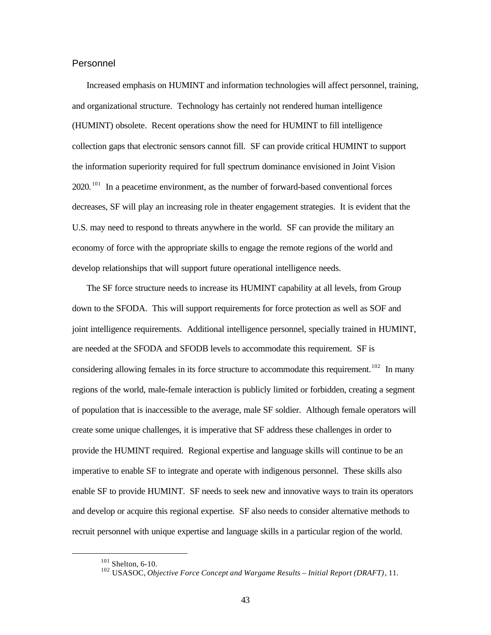#### Personnel

Increased emphasis on HUMINT and information technologies will affect personnel, training, and organizational structure. Technology has certainly not rendered human intelligence (HUMINT) obsolete. Recent operations show the need for HUMINT to fill intelligence collection gaps that electronic sensors cannot fill. SF can provide critical HUMINT to support the information superiority required for full spectrum dominance envisioned in Joint Vision  $2020$ . <sup>101</sup> In a peacetime environment, as the number of forward-based conventional forces decreases, SF will play an increasing role in theater engagement strategies. It is evident that the U.S. may need to respond to threats anywhere in the world. SF can provide the military an economy of force with the appropriate skills to engage the remote regions of the world and develop relationships that will support future operational intelligence needs.

The SF force structure needs to increase its HUMINT capability at all levels, from Group down to the SFODA. This will support requirements for force protection as well as SOF and joint intelligence requirements. Additional intelligence personnel, specially trained in HUMINT, are needed at the SFODA and SFODB levels to accommodate this requirement. SF is considering allowing females in its force structure to accommodate this requirement.<sup>102</sup> In many regions of the world, male-female interaction is publicly limited or forbidden, creating a segment of population that is inaccessible to the average, male SF soldier. Although female operators will create some unique challenges, it is imperative that SF address these challenges in order to provide the HUMINT required. Regional expertise and language skills will continue to be an imperative to enable SF to integrate and operate with indigenous personnel. These skills also enable SF to provide HUMINT. SF needs to seek new and innovative ways to train its operators and develop or acquire this regional expertise. SF also needs to consider alternative methods to recruit personnel with unique expertise and language skills in a particular region of the world.

 $101$  Shelton, 6-10.

<sup>102</sup> USASOC, *Objective Force Concept and Wargame Results – Initial Report (DRAFT)*, 11.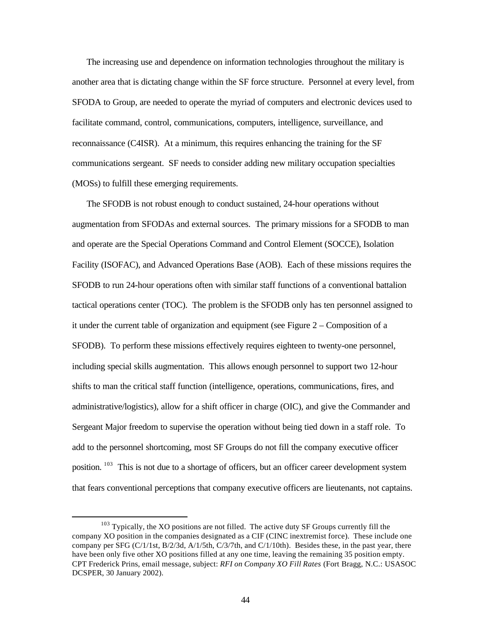The increasing use and dependence on information technologies throughout the military is another area that is dictating change within the SF force structure. Personnel at every level, from SFODA to Group, are needed to operate the myriad of computers and electronic devices used to facilitate command, control, communications, computers, intelligence, surveillance, and reconnaissance (C4ISR). At a minimum, this requires enhancing the training for the SF communications sergeant. SF needs to consider adding new military occupation specialties (MOSs) to fulfill these emerging requirements.

The SFODB is not robust enough to conduct sustained, 24-hour operations without augmentation from SFODAs and external sources. The primary missions for a SFODB to man and operate are the Special Operations Command and Control Element (SOCCE), Isolation Facility (ISOFAC), and Advanced Operations Base (AOB). Each of these missions requires the SFODB to run 24-hour operations often with similar staff functions of a conventional battalion tactical operations center (TOC). The problem is the SFODB only has ten personnel assigned to it under the current table of organization and equipment (see Figure 2 – Composition of a SFODB). To perform these missions effectively requires eighteen to twenty-one personnel, including special skills augmentation. This allows enough personnel to support two 12-hour shifts to man the critical staff function (intelligence, operations, communications, fires, and administrative/logistics), allow for a shift officer in charge (OIC), and give the Commander and Sergeant Major freedom to supervise the operation without being tied down in a staff role. To add to the personnel shortcoming, most SF Groups do not fill the company executive officer position. <sup>103</sup> This is not due to a shortage of officers, but an officer career development system that fears conventional perceptions that company executive officers are lieutenants, not captains.

<sup>&</sup>lt;sup>103</sup> Typically, the XO positions are not filled. The active duty SF Groups currently fill the company XO position in the companies designated as a CIF (CINC inextremist force). These include one company per SFG (C/1/1st, B/2/3d, A/1/5th, C/3/7th, and C/1/10th). Besides these, in the past year, there have been only five other XO positions filled at any one time, leaving the remaining 35 position empty. CPT Frederick Prins, email message, subject: *RFI on Company XO Fill Rates* (Fort Bragg, N.C.: USASOC DCSPER, 30 January 2002).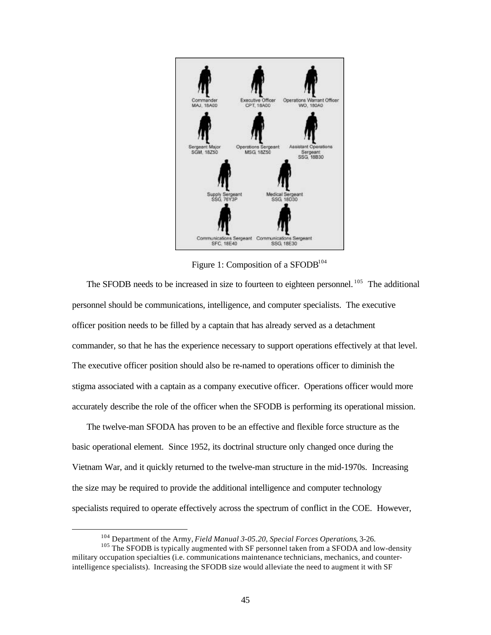

Figure 1: Composition of a SFODB<sup>104</sup>

The SFODB needs to be increased in size to fourteen to eighteen personnel.<sup>105</sup> The additional personnel should be communications, intelligence, and computer specialists. The executive officer position needs to be filled by a captain that has already served as a detachment commander, so that he has the experience necessary to support operations effectively at that level. The executive officer position should also be re-named to operations officer to diminish the stigma associated with a captain as a company executive officer. Operations officer would more accurately describe the role of the officer when the SFODB is performing its operational mission.

The twelve-man SFODA has proven to be an effective and flexible force structure as the basic operational element. Since 1952, its doctrinal structure only changed once during the Vietnam War, and it quickly returned to the twelve-man structure in the mid-1970s. Increasing the size may be required to provide the additional intelligence and computer technology specialists required to operate effectively across the spectrum of conflict in the COE. However,

<sup>104</sup> Department of the Army, *Field Manual 3-05.20, Special Forces Operations*, 3-26.

<sup>&</sup>lt;sup>105</sup> The SFODB is typically augmented with SF personnel taken from a SFODA and low-density military occupation specialties (i.e. communications maintenance technicians, mechanics, and counterintelligence specialists). Increasing the SFODB size would alleviate the need to augment it with SF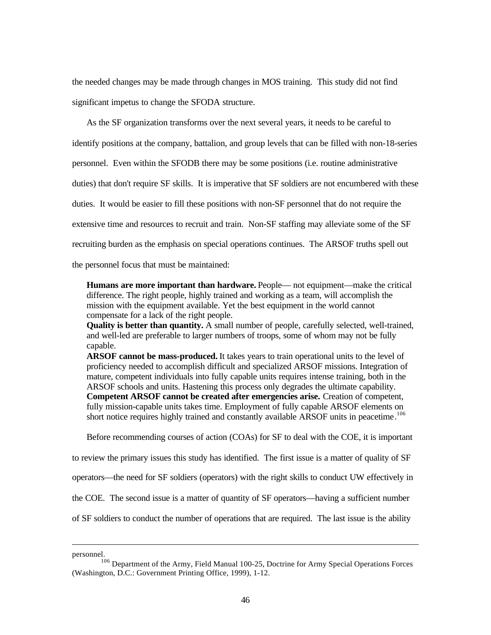the needed changes may be made through changes in MOS training. This study did not find significant impetus to change the SFODA structure.

As the SF organization transforms over the next several years, it needs to be careful to identify positions at the company, battalion, and group levels that can be filled with non-18-series personnel. Even within the SFODB there may be some positions (i.e. routine administrative duties) that don't require SF skills. It is imperative that SF soldiers are not encumbered with these duties. It would be easier to fill these positions with non-SF personnel that do not require the extensive time and resources to recruit and train. Non-SF staffing may alleviate some of the SF recruiting burden as the emphasis on special operations continues. The ARSOF truths spell out

the personnel focus that must be maintained:

**Humans are more important than hardware.** People— not equipment—make the critical difference. The right people, highly trained and working as a team, will accomplish the mission with the equipment available. Yet the best equipment in the world cannot compensate for a lack of the right people.

**Quality is better than quantity.** A small number of people, carefully selected, well-trained, and well-led are preferable to larger numbers of troops, some of whom may not be fully capable.

**ARSOF cannot be mass-produced.** It takes years to train operational units to the level of proficiency needed to accomplish difficult and specialized ARSOF missions. Integration of mature, competent individuals into fully capable units requires intense training, both in the ARSOF schools and units. Hastening this process only degrades the ultimate capability. **Competent ARSOF cannot be created after emergencies arise.** Creation of competent, fully mission-capable units takes time. Employment of fully capable ARSOF elements on short notice requires highly trained and constantly available ARSOF units in peacetime.<sup>106</sup>

Before recommending courses of action (COAs) for SF to deal with the COE, it is important

to review the primary issues this study has identified. The first issue is a matter of quality of SF

operators—the need for SF soldiers (operators) with the right skills to conduct UW effectively in

the COE. The second issue is a matter of quantity of SF operators—having a sufficient number

of SF soldiers to conduct the number of operations that are required. The last issue is the ability

personnel.

<sup>106</sup> Department of the Army, Field Manual 100-25, Doctrine for Army Special Operations Forces (Washington, D.C.: Government Printing Office, 1999), 1-12.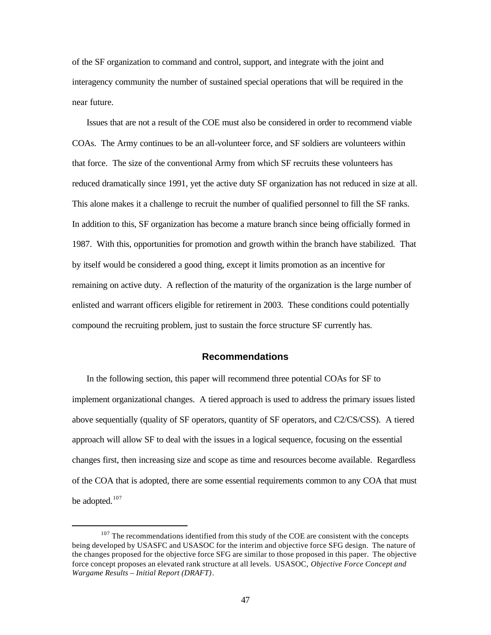of the SF organization to command and control, support, and integrate with the joint and interagency community the number of sustained special operations that will be required in the near future.

Issues that are not a result of the COE must also be considered in order to recommend viable COAs. The Army continues to be an all-volunteer force, and SF soldiers are volunteers within that force. The size of the conventional Army from which SF recruits these volunteers has reduced dramatically since 1991, yet the active duty SF organization has not reduced in size at all. This alone makes it a challenge to recruit the number of qualified personnel to fill the SF ranks. In addition to this, SF organization has become a mature branch since being officially formed in 1987. With this, opportunities for promotion and growth within the branch have stabilized. That by itself would be considered a good thing, except it limits promotion as an incentive for remaining on active duty. A reflection of the maturity of the organization is the large number of enlisted and warrant officers eligible for retirement in 2003. These conditions could potentially compound the recruiting problem, just to sustain the force structure SF currently has.

## **Recommendations**

In the following section, this paper will recommend three potential COAs for SF to implement organizational changes. A tiered approach is used to address the primary issues listed above sequentially (quality of SF operators, quantity of SF operators, and C2/CS/CSS). A tiered approach will allow SF to deal with the issues in a logical sequence, focusing on the essential changes first, then increasing size and scope as time and resources become available. Regardless of the COA that is adopted, there are some essential requirements common to any COA that must be adopted.<sup>107</sup>

 $107$  The recommendations identified from this study of the COE are consistent with the concepts being developed by USASFC and USASOC for the interim and objective force SFG design. The nature of the changes proposed for the objective force SFG are similar to those proposed in this paper. The objective force concept proposes an elevated rank structure at all levels. USASOC, *Objective Force Concept and Wargame Results – Initial Report (DRAFT)*.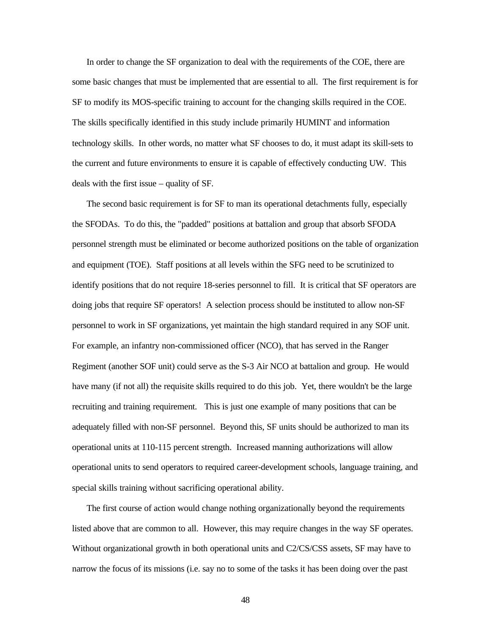In order to change the SF organization to deal with the requirements of the COE, there are some basic changes that must be implemented that are essential to all. The first requirement is for SF to modify its MOS-specific training to account for the changing skills required in the COE. The skills specifically identified in this study include primarily HUMINT and information technology skills. In other words, no matter what SF chooses to do, it must adapt its skill-sets to the current and future environments to ensure it is capable of effectively conducting UW. This deals with the first issue – quality of SF.

The second basic requirement is for SF to man its operational detachments fully, especially the SFODAs. To do this, the "padded" positions at battalion and group that absorb SFODA personnel strength must be eliminated or become authorized positions on the table of organization and equipment (TOE). Staff positions at all levels within the SFG need to be scrutinized to identify positions that do not require 18-series personnel to fill. It is critical that SF operators are doing jobs that require SF operators! A selection process should be instituted to allow non-SF personnel to work in SF organizations, yet maintain the high standard required in any SOF unit. For example, an infantry non-commissioned officer (NCO), that has served in the Ranger Regiment (another SOF unit) could serve as the S-3 Air NCO at battalion and group. He would have many (if not all) the requisite skills required to do this job. Yet, there wouldn't be the large recruiting and training requirement. This is just one example of many positions that can be adequately filled with non-SF personnel. Beyond this, SF units should be authorized to man its operational units at 110-115 percent strength. Increased manning authorizations will allow operational units to send operators to required career-development schools, language training, and special skills training without sacrificing operational ability.

The first course of action would change nothing organizationally beyond the requirements listed above that are common to all. However, this may require changes in the way SF operates. Without organizational growth in both operational units and C2/CS/CSS assets, SF may have to narrow the focus of its missions (i.e. say no to some of the tasks it has been doing over the past

48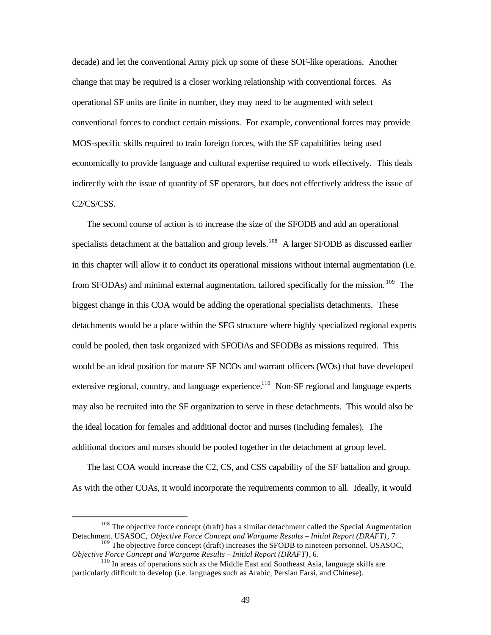decade) and let the conventional Army pick up some of these SOF-like operations. Another change that may be required is a closer working relationship with conventional forces. As operational SF units are finite in number, they may need to be augmented with select conventional forces to conduct certain missions. For example, conventional forces may provide MOS-specific skills required to train foreign forces, with the SF capabilities being used economically to provide language and cultural expertise required to work effectively. This deals indirectly with the issue of quantity of SF operators, but does not effectively address the issue of C2/CS/CSS.

The second course of action is to increase the size of the SFODB and add an operational specialists detachment at the battalion and group levels.<sup>108</sup> A larger SFODB as discussed earlier in this chapter will allow it to conduct its operational missions without internal augmentation (i.e. from SFODAs) and minimal external augmentation, tailored specifically for the mission.<sup>109</sup> The biggest change in this COA would be adding the operational specialists detachments. These detachments would be a place within the SFG structure where highly specialized regional experts could be pooled, then task organized with SFODAs and SFODBs as missions required. This would be an ideal position for mature SF NCOs and warrant officers (WOs) that have developed extensive regional, country, and language experience.<sup>110</sup> Non-SF regional and language experts may also be recruited into the SF organization to serve in these detachments. This would also be the ideal location for females and additional doctor and nurses (including females). The additional doctors and nurses should be pooled together in the detachment at group level.

The last COA would increase the C2, CS, and CSS capability of the SF battalion and group. As with the other COAs, it would incorporate the requirements common to all. Ideally, it would

 $108$  The objective force concept (draft) has a similar detachment called the Special Augmentation Detachment. USASOC, *Objective Force Concept and Wargame Results – Initial Report (DRAFT)*, 7.

 $109$  The objective force concept (draft) increases the SFODB to nineteen personnel. USASOC, *Objective Force Concept and Wargame Results – Initial Report (DRAFT)*, 6.

<sup>&</sup>lt;sup>110</sup> In areas of operations such as the Middle East and Southeast Asia, language skills are particularly difficult to develop (i.e. languages such as Arabic, Persian Farsi, and Chinese).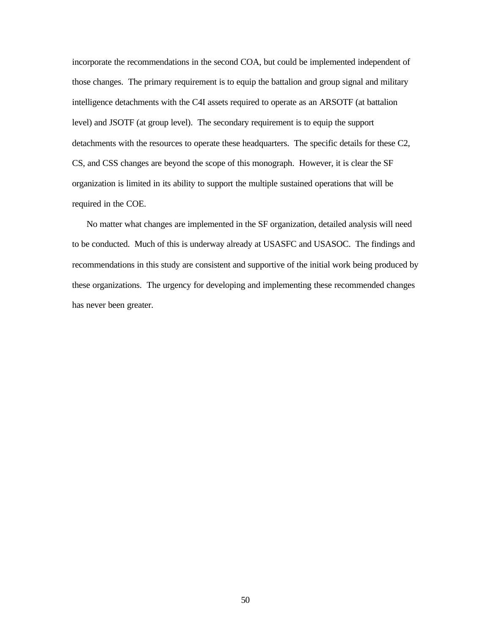incorporate the recommendations in the second COA, but could be implemented independent of those changes. The primary requirement is to equip the battalion and group signal and military intelligence detachments with the C4I assets required to operate as an ARSOTF (at battalion level) and JSOTF (at group level). The secondary requirement is to equip the support detachments with the resources to operate these headquarters. The specific details for these C2, CS, and CSS changes are beyond the scope of this monograph. However, it is clear the SF organization is limited in its ability to support the multiple sustained operations that will be required in the COE.

No matter what changes are implemented in the SF organization, detailed analysis will need to be conducted. Much of this is underway already at USASFC and USASOC. The findings and recommendations in this study are consistent and supportive of the initial work being produced by these organizations. The urgency for developing and implementing these recommended changes has never been greater.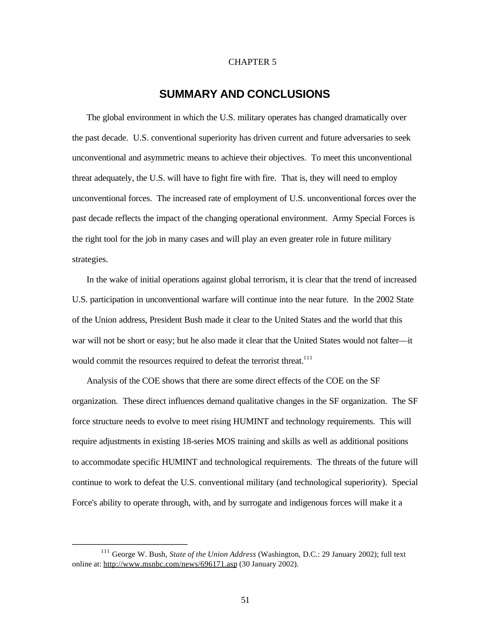#### CHAPTER 5

## **SUMMARY AND CONCLUSIONS**

The global environment in which the U.S. military operates has changed dramatically over the past decade. U.S. conventional superiority has driven current and future adversaries to seek unconventional and asymmetric means to achieve their objectives. To meet this unconventional threat adequately, the U.S. will have to fight fire with fire. That is, they will need to employ unconventional forces. The increased rate of employment of U.S. unconventional forces over the past decade reflects the impact of the changing operational environment. Army Special Forces is the right tool for the job in many cases and will play an even greater role in future military strategies.

In the wake of initial operations against global terrorism, it is clear that the trend of increased U.S. participation in unconventional warfare will continue into the near future. In the 2002 State of the Union address, President Bush made it clear to the United States and the world that this war will not be short or easy; but he also made it clear that the United States would not falter—it would commit the resources required to defeat the terrorist threat.<sup>111</sup>

Analysis of the COE shows that there are some direct effects of the COE on the SF organization. These direct influences demand qualitative changes in the SF organization. The SF force structure needs to evolve to meet rising HUMINT and technology requirements. This will require adjustments in existing 18-series MOS training and skills as well as additional positions to accommodate specific HUMINT and technological requirements. The threats of the future will continue to work to defeat the U.S. conventional military (and technological superiority). Special Force's ability to operate through, with, and by surrogate and indigenous forces will make it a

<sup>111</sup> George W. Bush, *State of the Union Address* (Washington, D.C.: 29 January 2002); full text online at: http://www.msnbc.com/news/696171.asp (30 January 2002).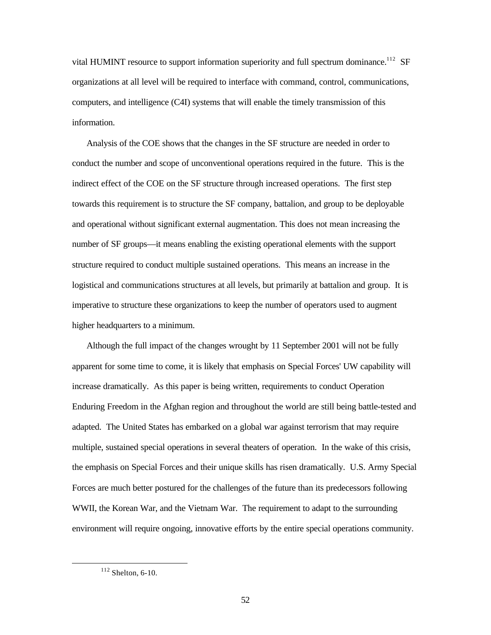vital HUMINT resource to support information superiority and full spectrum dominance.<sup>112</sup> SF organizations at all level will be required to interface with command, control, communications, computers, and intelligence (C4I) systems that will enable the timely transmission of this information.

Analysis of the COE shows that the changes in the SF structure are needed in order to conduct the number and scope of unconventional operations required in the future. This is the indirect effect of the COE on the SF structure through increased operations. The first step towards this requirement is to structure the SF company, battalion, and group to be deployable and operational without significant external augmentation. This does not mean increasing the number of SF groups—it means enabling the existing operational elements with the support structure required to conduct multiple sustained operations. This means an increase in the logistical and communications structures at all levels, but primarily at battalion and group. It is imperative to structure these organizations to keep the number of operators used to augment higher headquarters to a minimum.

Although the full impact of the changes wrought by 11 September 2001 will not be fully apparent for some time to come, it is likely that emphasis on Special Forces' UW capability will increase dramatically. As this paper is being written, requirements to conduct Operation Enduring Freedom in the Afghan region and throughout the world are still being battle-tested and adapted. The United States has embarked on a global war against terrorism that may require multiple, sustained special operations in several theaters of operation. In the wake of this crisis, the emphasis on Special Forces and their unique skills has risen dramatically. U.S. Army Special Forces are much better postured for the challenges of the future than its predecessors following WWII, the Korean War, and the Vietnam War. The requirement to adapt to the surrounding environment will require ongoing, innovative efforts by the entire special operations community.

<sup>112</sup> Shelton, 6-10.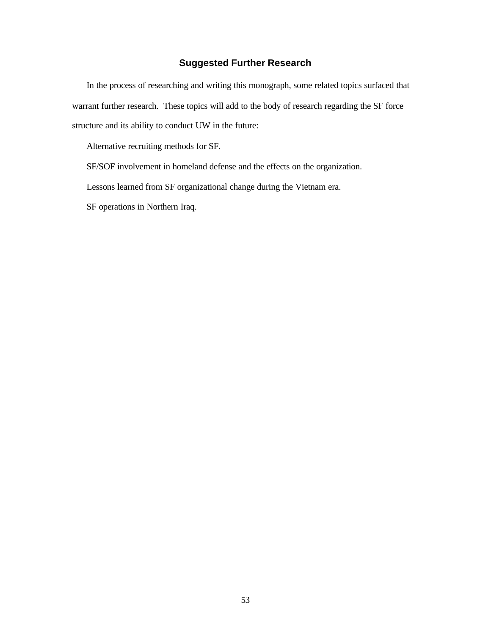## **Suggested Further Research**

In the process of researching and writing this monograph, some related topics surfaced that warrant further research. These topics will add to the body of research regarding the SF force structure and its ability to conduct UW in the future:

Alternative recruiting methods for SF.

SF/SOF involvement in homeland defense and the effects on the organization.

Lessons learned from SF organizational change during the Vietnam era.

SF operations in Northern Iraq.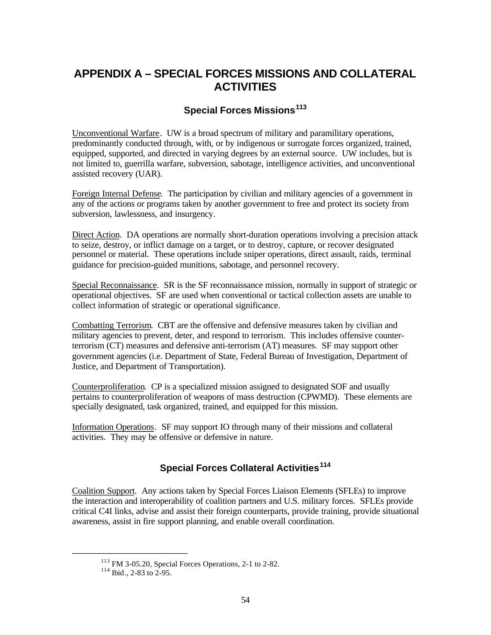## **APPENDIX A – SPECIAL FORCES MISSIONS AND COLLATERAL ACTIVITIES**

## **Special Forces Missions<sup>113</sup>**

Unconventional Warfare. UW is a broad spectrum of military and paramilitary operations, predominantly conducted through, with, or by indigenous or surrogate forces organized, trained, equipped, supported, and directed in varying degrees by an external source. UW includes, but is not limited to, guerrilla warfare, subversion, sabotage, intelligence activities, and unconventional assisted recovery (UAR).

Foreign Internal Defense. The participation by civilian and military agencies of a government in any of the actions or programs taken by another government to free and protect its society from subversion, lawlessness, and insurgency.

Direct Action. DA operations are normally short-duration operations involving a precision attack to seize, destroy, or inflict damage on a target, or to destroy, capture, or recover designated personnel or material. These operations include sniper operations, direct assault, raids, terminal guidance for precision-guided munitions, sabotage, and personnel recovery.

Special Reconnaissance. SR is the SF reconnaissance mission, normally in support of strategic or operational objectives. SF are used when conventional or tactical collection assets are unable to collect information of strategic or operational significance.

Combatting Terrorism. CBT are the offensive and defensive measures taken by civilian and military agencies to prevent, deter, and respond to terrorism. This includes offensive counterterrorism (CT) measures and defensive anti-terrorism (AT) measures. SF may support other government agencies (i.e. Department of State, Federal Bureau of Investigation, Department of Justice, and Department of Transportation).

Counterproliferation. CP is a specialized mission assigned to designated SOF and usually pertains to counterproliferation of weapons of mass destruction (CPWMD). These elements are specially designated, task organized, trained, and equipped for this mission.

Information Operations. SF may support IO through many of their missions and collateral activities. They may be offensive or defensive in nature.

## **Special Forces Collateral Activities<sup>114</sup>**

Coalition Support. Any actions taken by Special Forces Liaison Elements (SFLEs) to improve the interaction and interoperability of coalition partners and U.S. military forces. SFLEs provide critical C4I links, advise and assist their foreign counterparts, provide training, provide situational awareness, assist in fire support planning, and enable overall coordination.

<sup>&</sup>lt;sup>113</sup> FM 3-05.20, Special Forces Operations, 2-1 to 2-82.

 $114$  Ibid., 2-83 to 2-95.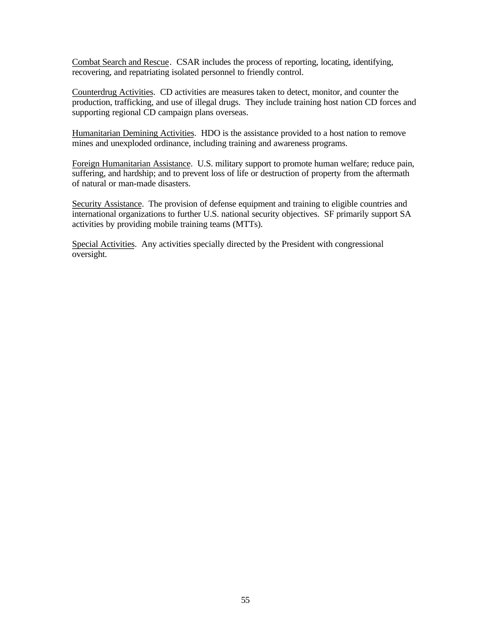Combat Search and Rescue. CSAR includes the process of reporting, locating, identifying, recovering, and repatriating isolated personnel to friendly control.

Counterdrug Activities. CD activities are measures taken to detect, monitor, and counter the production, trafficking, and use of illegal drugs. They include training host nation CD forces and supporting regional CD campaign plans overseas.

Humanitarian Demining Activities. HDO is the assistance provided to a host nation to remove mines and unexploded ordinance, including training and awareness programs.

Foreign Humanitarian Assistance. U.S. military support to promote human welfare; reduce pain, suffering, and hardship; and to prevent loss of life or destruction of property from the aftermath of natural or man-made disasters.

Security Assistance. The provision of defense equipment and training to eligible countries and international organizations to further U.S. national security objectives. SF primarily support SA activities by providing mobile training teams (MTTs).

Special Activities. Any activities specially directed by the President with congressional oversight.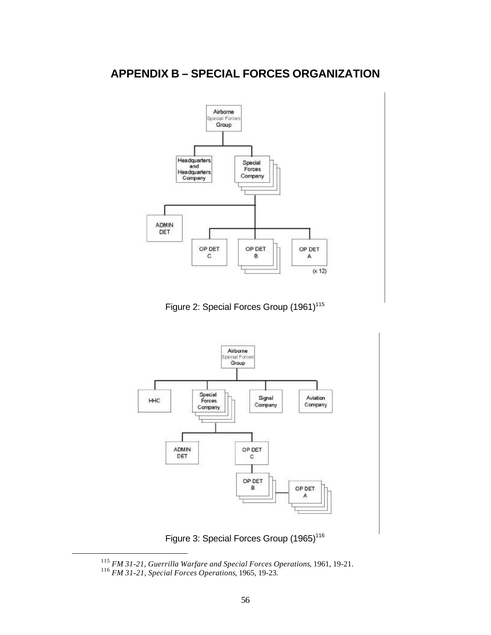

Figure 2: Special Forces Group (1961)<sup>115</sup>



Figure 3: Special Forces Group (1965)<sup>116</sup>

<sup>115</sup>*FM 31-21, Guerrilla Warfare and Special Forces Operations*, 1961, 19-21.

<sup>116</sup>*FM 31-21, Special Forces Operations*, 1965, 19-23.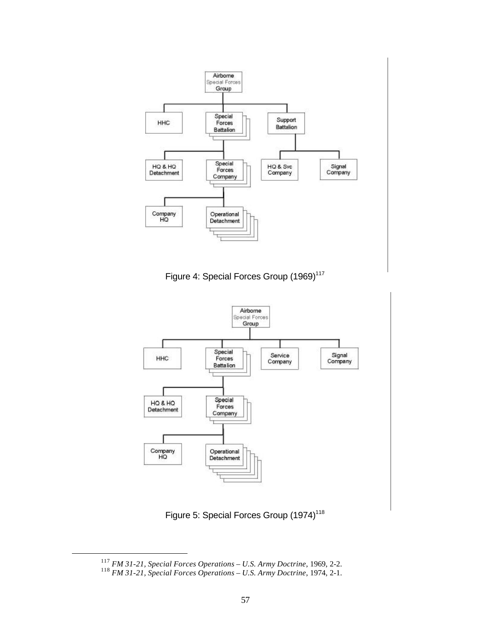

Figure 4: Special Forces Group (1969)<sup>117</sup>



Figure 5: Special Forces Group (1974)<sup>118</sup>

<sup>117</sup>*FM 31-21, Special Forces Operations – U.S. Army Doctrine*, 1969, 2-2.

<sup>118</sup>*FM 31-21, Special Forces Operations – U.S. Army Doctrine*, 1974, 2-1.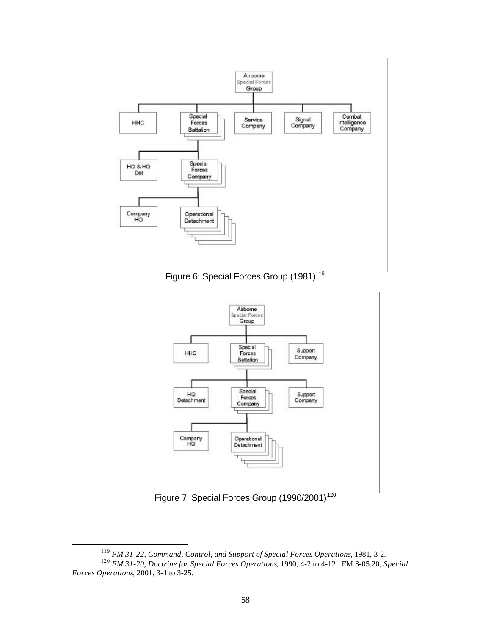





Figure 7: Special Forces Group (1990/2001)<sup>120</sup>

<sup>119</sup>*FM 31-22, Command, Control, and Support of Special Forces Operations*, 1981, 3-2.

<sup>120</sup>*FM 31-20, Doctrine for Special Forces Operations*, 1990, 4-2 to 4-12. FM 3-05.20, *Special Forces Operations*, 2001, 3-1 to 3-25.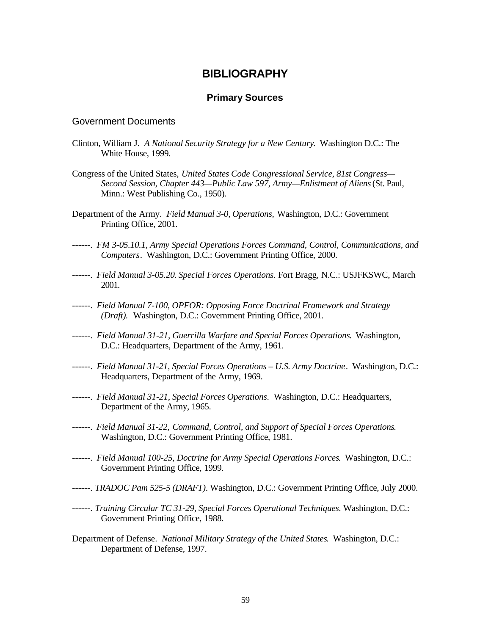## **BIBLIOGRAPHY**

## **Primary Sources**

#### Government Documents

- Clinton, William J. *A National Security Strategy for a New Century*. Washington D.C.: The White House, 1999.
- Congress of the United States, *United States Code Congressional Service, 81st Congress— Second Session, Chapter 443—Public Law 597, Army—Enlistment of Aliens* (St. Paul, Minn.: West Publishing Co., 1950).
- Department of the Army. *Field Manual 3-0, Operations,* Washington, D.C.: Government Printing Office, 2001.
- ------. *FM 3-05.10.1, Army Special Operations Forces Command, Control, Communications, and Computers*. Washington, D.C.: Government Printing Office, 2000.
- ------. *Field Manual 3-05.20. Special Forces Operations*. Fort Bragg, N.C.: USJFKSWC, March 2001.
- ------. *Field Manual 7-100, OPFOR: Opposing Force Doctrinal Framework and Strategy (Draft).* Washington, D.C.: Government Printing Office, 2001.
- ------. *Field Manual 31-21, Guerrilla Warfare and Special Forces Operations*. Washington, D.C.: Headquarters, Department of the Army, 1961.
- ------. *Field Manual 31-21, Special Forces Operations U.S. Army Doctrine*. Washington, D.C.: Headquarters, Department of the Army, 1969.
- ------. *Field Manual 31-21, Special Forces Operations*. Washington, D.C.: Headquarters, Department of the Army, 1965.
- ------. *Field Manual 31-22, Command, Control, and Support of Special Forces Operations*. Washington, D.C.: Government Printing Office, 1981.
- ------. *Field Manual 100-25, Doctrine for Army Special Operations Forces*. Washington, D.C.: Government Printing Office, 1999.
- ------. *TRADOC Pam 525-5 (DRAFT)*. Washington, D.C.: Government Printing Office, July 2000.
- ------. *Training Circular TC 31-29, Special Forces Operational Techniques.* Washington, D.C.: Government Printing Office, 1988.
- Department of Defense. *National Military Strategy of the United States*. Washington, D.C.: Department of Defense, 1997.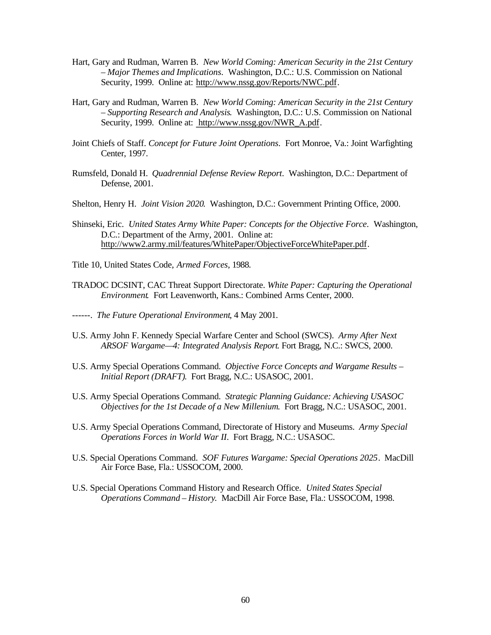- Hart, Gary and Rudman, Warren B. *New World Coming: American Security in the 21st Century – Major Themes and Implications*. Washington, D.C.: U.S. Commission on National Security, 1999. Online at: http://www.nssg.gov/Reports/NWC.pdf.
- Hart, Gary and Rudman, Warren B. *New World Coming: American Security in the 21st Century – Supporting Research and Analysis*. Washington, D.C.: U.S. Commission on National Security, 1999. Online at: http://www.nssg.gov/NWR\_A.pdf.
- Joint Chiefs of Staff. *Concept for Future Joint Operations*. Fort Monroe, Va.: Joint Warfighting Center, 1997.
- Rumsfeld, Donald H. *Quadrennial Defense Review Report*. Washington, D.C.: Department of Defense, 2001.
- Shelton, Henry H. *Joint Vision 2020*. Washington, D.C.: Government Printing Office, 2000.
- Shinseki, Eric. *United States Army White Paper: Concepts for the Objective Force*. Washington, D.C.: Department of the Army, 2001. Online at: http://www2.army.mil/features/WhitePaper/ObjectiveForceWhitePaper.pdf.
- Title 10, United States Code, *Armed Forces*, 1988.
- TRADOC DCSINT, CAC Threat Support Directorate. *White Paper: Capturing the Operational Environment*. Fort Leavenworth, Kans.: Combined Arms Center, 2000.
- ------. *The Future Operational Environment*, 4 May 2001.
- U.S. Army John F. Kennedy Special Warfare Center and School (SWCS). *Army After Next ARSOF Wargame—4: Integrated Analysis Report*. Fort Bragg, N.C.: SWCS, 2000.
- U.S. Army Special Operations Command. *Objective Force Concepts and Wargame Results Initial Report (DRAFT)*. Fort Bragg, N.C.: USASOC, 2001.
- U.S. Army Special Operations Command. *Strategic Planning Guidance: Achieving USASOC Objectives for the 1st Decade of a New Millenium*. Fort Bragg, N.C.: USASOC, 2001.
- U.S. Army Special Operations Command, Directorate of History and Museums. *Army Special Operations Forces in World War II*. Fort Bragg, N.C.: USASOC.
- U.S. Special Operations Command. *SOF Futures Wargame: Special Operations 2025*. MacDill Air Force Base, Fla.: USSOCOM, 2000.
- U.S. Special Operations Command History and Research Office. *United States Special Operations Command – History*. MacDill Air Force Base, Fla.: USSOCOM, 1998.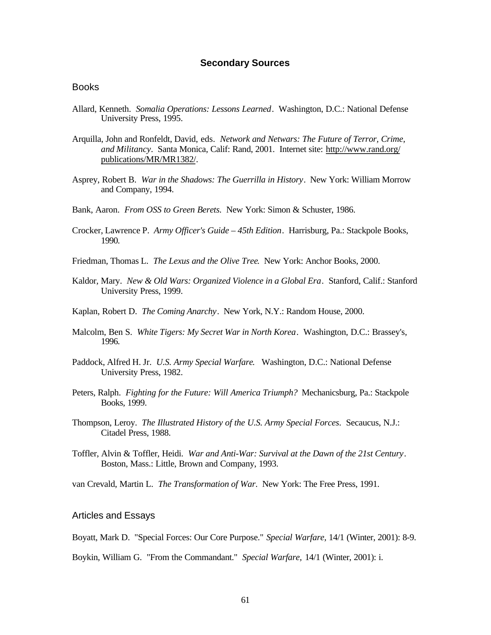#### **Secondary Sources**

#### **Books**

- Allard, Kenneth. *Somalia Operations: Lessons Learned*. Washington, D.C.: National Defense University Press, 1995.
- Arquilla, John and Ronfeldt, David, eds. *Network and Netwars: The Future of Terror, Crime, and Militancy*. Santa Monica, Calif: Rand, 2001. Internet site: http://www.rand.org/ publications/MR/MR1382/.
- Asprey, Robert B. *War in the Shadows: The Guerrilla in History*. New York: William Morrow and Company, 1994.
- Bank, Aaron. *From OSS to Green Berets*. New York: Simon & Schuster, 1986.
- Crocker, Lawrence P. *Army Officer's Guide 45th Edition*. Harrisburg, Pa.: Stackpole Books, 1990.
- Friedman, Thomas L. *The Lexus and the Olive Tree*. New York: Anchor Books, 2000.
- Kaldor, Mary. *New & Old Wars: Organized Violence in a Global Era*. Stanford, Calif.: Stanford University Press, 1999.
- Kaplan, Robert D. *The Coming Anarchy*. New York, N.Y.: Random House, 2000.
- Malcolm, Ben S. *White Tigers: My Secret War in North Korea*. Washington, D.C.: Brassey's, 1996.
- Paddock, Alfred H. Jr. *U.S. Army Special Warfare*. Washington, D.C.: National Defense University Press, 1982.
- Peters, Ralph. *Fighting for the Future: Will America Triumph?* Mechanicsburg, Pa.: Stackpole Books, 1999.
- Thompson, Leroy. *The Illustrated History of the U.S. Army Special Forces*. Secaucus, N.J.: Citadel Press, 1988.
- Toffler, Alvin & Toffler, Heidi. *War and Anti-War: Survival at the Dawn of the 21st Century*. Boston, Mass.: Little, Brown and Company, 1993.

van Crevald, Martin L. *The Transformation of War*. New York: The Free Press, 1991.

#### Articles and Essays

Boyatt, Mark D. "Special Forces: Our Core Purpose." *Special Warfare,* 14/1 (Winter, 2001): 8-9.

Boykin, William G. "From the Commandant." *Special Warfare,* 14/1 (Winter, 2001): i.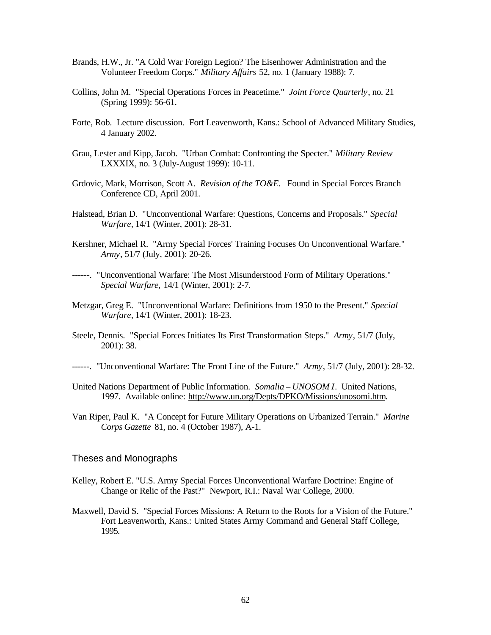- Brands, H.W., Jr. "A Cold War Foreign Legion? The Eisenhower Administration and the Volunteer Freedom Corps." *Military Affairs* 52, no. 1 (January 1988): 7.
- Collins, John M. "Special Operations Forces in Peacetime." *Joint Force Quarterly*, no. 21 (Spring 1999): 56-61.
- Forte, Rob. Lecture discussion. Fort Leavenworth, Kans.: School of Advanced Military Studies, 4 January 2002.
- Grau, Lester and Kipp, Jacob. "Urban Combat: Confronting the Specter." *Military Review*  LXXXIX, no. 3 (July-August 1999): 10-11.
- Grdovic, Mark, Morrison, Scott A. *Revision of the TO&E.* Found in Special Forces Branch Conference CD, April 2001.
- Halstead, Brian D. "Unconventional Warfare: Questions, Concerns and Proposals." *Special Warfare,* 14/1 (Winter, 2001): 28-31.
- Kershner, Michael R. "Army Special Forces' Training Focuses On Unconventional Warfare." *Army*, 51/7 (July, 2001): 20-26.
- ------. "Unconventional Warfare: The Most Misunderstood Form of Military Operations." *Special Warfare,* 14/1 (Winter, 2001): 2-7.
- Metzgar, Greg E. "Unconventional Warfare: Definitions from 1950 to the Present." *Special Warfare,* 14/1 (Winter, 2001): 18-23.
- Steele, Dennis. "Special Forces Initiates Its First Transformation Steps." *Army*, 51/7 (July, 2001): 38.
- ------. "Unconventional Warfare: The Front Line of the Future." *Army*, 51/7 (July, 2001): 28-32.
- United Nations Department of Public Information. *Somalia UNOSOM I*. United Nations, 1997. Available online: http://www.un.org/Depts/DPKO/Missions/unosomi.htm.
- Van Riper, Paul K. "A Concept for Future Military Operations on Urbanized Terrain." *Marine Corps Gazette* 81, no. 4 (October 1987), A-1.

#### Theses and Monographs

- Kelley, Robert E. "U.S. Army Special Forces Unconventional Warfare Doctrine: Engine of Change or Relic of the Past?" Newport, R.I.: Naval War College, 2000.
- Maxwell, David S. "Special Forces Missions: A Return to the Roots for a Vision of the Future." Fort Leavenworth, Kans.: United States Army Command and General Staff College, 1995.